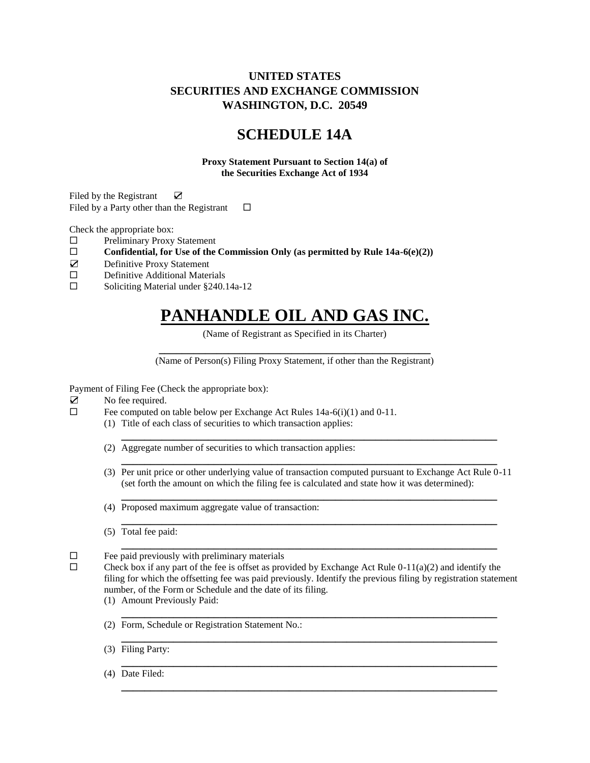# **UNITED STATES SECURITIES AND EXCHANGE COMMISSION WASHINGTON, D.C. 20549**

# **SCHEDULE 14A**

**Proxy Statement Pursuant to Section 14(a) of the Securities Exchange Act of 1934**

Filed by the Registrant **☑** Filed by a Party other than the Registrant  $\square$ 

Check the appropriate box:

- □ Preliminary Proxy Statement
- Confidential, for Use of the Commission Only (as permitted by Rule  $14a-6(e)(2)$ )
- ☑ Definitive Proxy Statement
- Definitive Additional Materials
- □ Soliciting Material under §240.14a-12

# **PANHANDLE OIL AND GAS INC.**

(Name of Registrant as Specified in its Charter)

**\_\_\_\_\_\_\_\_\_\_\_\_\_\_\_\_\_\_\_\_\_\_\_\_\_\_\_\_\_\_\_\_\_\_\_\_\_\_\_\_\_\_\_\_\_\_\_** (Name of Person(s) Filing Proxy Statement, if other than the Registrant)

Payment of Filing Fee (Check the appropriate box):

- ☑ No fee required.
- $\Box$  Fee computed on table below per Exchange Act Rules 14a-6(i)(1) and 0-11.
	- (1) Title of each class of securities to which transaction applies:
		- (2) Aggregate number of securities to which transaction applies:
		- **\_\_\_\_\_\_\_\_\_\_\_\_\_\_\_\_\_\_\_\_\_\_\_\_\_\_\_\_\_\_\_\_\_\_\_\_\_\_\_\_\_\_\_\_\_\_\_\_\_\_\_\_\_\_\_\_\_\_\_\_\_\_\_\_\_** (3) Per unit price or other underlying value of transaction computed pursuant to Exchange Act Rule 0-11 (set forth the amount on which the filing fee is calculated and state how it was determined): **\_\_\_\_\_\_\_\_\_\_\_\_\_\_\_\_\_\_\_\_\_\_\_\_\_\_\_\_\_\_\_\_\_\_\_\_\_\_\_\_\_\_\_\_\_\_\_\_\_\_\_\_\_\_\_\_\_\_\_\_\_\_\_\_\_**

**\_\_\_\_\_\_\_\_\_\_\_\_\_\_\_\_\_\_\_\_\_\_\_\_\_\_\_\_\_\_\_\_\_\_\_\_\_\_\_\_\_\_\_\_\_\_\_\_\_\_\_\_\_\_\_\_\_\_\_\_\_\_\_\_\_**

**\_\_\_\_\_\_\_\_\_\_\_\_\_\_\_\_\_\_\_\_\_\_\_\_\_\_\_\_\_\_\_\_\_\_\_\_\_\_\_\_\_\_\_\_\_\_\_\_\_\_\_\_\_\_\_\_\_\_\_\_\_\_\_\_\_**

**\_\_\_\_\_\_\_\_\_\_\_\_\_\_\_\_\_\_\_\_\_\_\_\_\_\_\_\_\_\_\_\_\_\_\_\_\_\_\_\_\_\_\_\_\_\_\_\_\_\_\_\_\_\_\_\_\_\_\_\_\_\_\_\_\_**

- (4) Proposed maximum aggregate value of transaction:
- (5) Total fee paid:

 $\Box$  Fee paid previously with preliminary materials

 $\Box$  Check box if any part of the fee is offset as provided by Exchange Act Rule 0-11(a)(2) and identify the filing for which the offsetting fee was paid previously. Identify the previous filing by registration statement number, of the Form or Schedule and the date of its filing.

**\_\_\_\_\_\_\_\_\_\_\_\_\_\_\_\_\_\_\_\_\_\_\_\_\_\_\_\_\_\_\_\_\_\_\_\_\_\_\_\_\_\_\_\_\_\_\_\_\_\_\_\_\_\_\_\_\_\_\_\_\_\_\_\_\_**

**\_\_\_\_\_\_\_\_\_\_\_\_\_\_\_\_\_\_\_\_\_\_\_\_\_\_\_\_\_\_\_\_\_\_\_\_\_\_\_\_\_\_\_\_\_\_\_\_\_\_\_\_\_\_\_\_\_\_\_\_\_\_\_\_\_**

**\_\_\_\_\_\_\_\_\_\_\_\_\_\_\_\_\_\_\_\_\_\_\_\_\_\_\_\_\_\_\_\_\_\_\_\_\_\_\_\_\_\_\_\_\_\_\_\_\_\_\_\_\_\_\_\_\_\_\_\_\_\_\_\_\_**

**\_\_\_\_\_\_\_\_\_\_\_\_\_\_\_\_\_\_\_\_\_\_\_\_\_\_\_\_\_\_\_\_\_\_\_\_\_\_\_\_\_\_\_\_\_\_\_\_\_\_\_\_\_\_\_\_\_\_\_\_\_\_\_\_\_**

(1) Amount Previously Paid:

- (2) Form, Schedule or Registration Statement No.:
- (3) Filing Party:
- (4) Date Filed: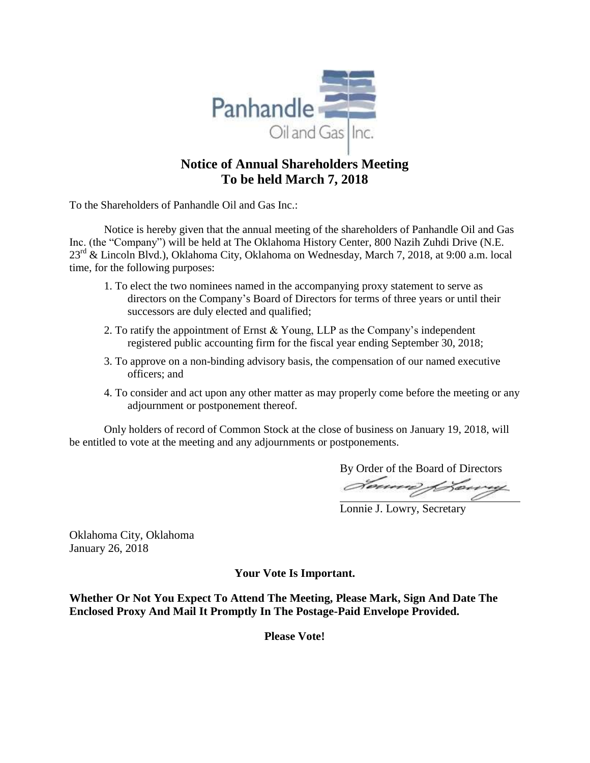

# **Notice of Annual Shareholders Meeting To be held March 7, 2018**

To the Shareholders of Panhandle Oil and Gas Inc.:

Notice is hereby given that the annual meeting of the shareholders of Panhandle Oil and Gas Inc. (the "Company") will be held at The Oklahoma History Center, 800 Nazih Zuhdi Drive (N.E. 23rd & Lincoln Blvd.), Oklahoma City, Oklahoma on Wednesday, March 7, 2018, at 9:00 a.m. local time, for the following purposes:

- 1. To elect the two nominees named in the accompanying proxy statement to serve as directors on the Company's Board of Directors for terms of three years or until their successors are duly elected and qualified;
- 2. To ratify the appointment of Ernst & Young, LLP as the Company's independent registered public accounting firm for the fiscal year ending September 30, 2018;
- 3. To approve on a non-binding advisory basis, the compensation of our named executive officers; and
- 4. To consider and act upon any other matter as may properly come before the meeting or any adjournment or postponement thereof.

Only holders of record of Common Stock at the close of business on January 19, 2018, will be entitled to vote at the meeting and any adjournments or postponements.

By Order of the Board of Directors

Lonnie J. Lowry, Secretary

Oklahoma City, Oklahoma January 26, 2018

**Your Vote Is Important.**

**Whether Or Not You Expect To Attend The Meeting, Please Mark, Sign And Date The Enclosed Proxy And Mail It Promptly In The Postage-Paid Envelope Provided.**

**Please Vote!**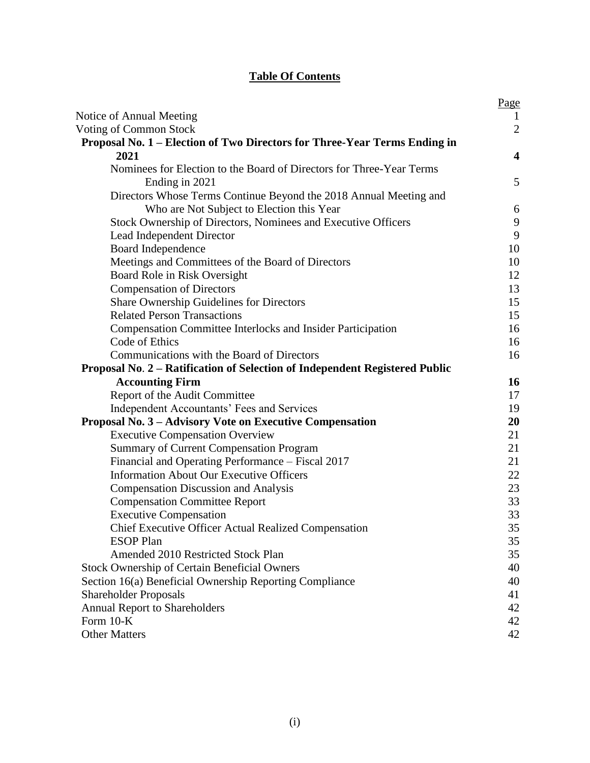# **Table Of Contents**

|                                                                             | Page                    |
|-----------------------------------------------------------------------------|-------------------------|
| Notice of Annual Meeting                                                    | 1                       |
| Voting of Common Stock                                                      | $\overline{2}$          |
| Proposal No. 1 – Election of Two Directors for Three-Year Terms Ending in   |                         |
| 2021                                                                        | $\overline{\mathbf{4}}$ |
| Nominees for Election to the Board of Directors for Three-Year Terms        |                         |
| Ending in 2021                                                              | 5                       |
| Directors Whose Terms Continue Beyond the 2018 Annual Meeting and           |                         |
| Who are Not Subject to Election this Year                                   | 6                       |
| Stock Ownership of Directors, Nominees and Executive Officers               | 9                       |
| Lead Independent Director                                                   | 9                       |
| Board Independence                                                          | 10                      |
| Meetings and Committees of the Board of Directors                           | 10                      |
| Board Role in Risk Oversight                                                | 12                      |
| <b>Compensation of Directors</b>                                            | 13                      |
| Share Ownership Guidelines for Directors                                    | 15                      |
| <b>Related Person Transactions</b>                                          | 15                      |
| <b>Compensation Committee Interlocks and Insider Participation</b>          | 16                      |
| Code of Ethics                                                              | 16                      |
| Communications with the Board of Directors                                  | 16                      |
| Proposal No. 2 - Ratification of Selection of Independent Registered Public |                         |
| <b>Accounting Firm</b>                                                      | 16                      |
| Report of the Audit Committee                                               | 17                      |
| Independent Accountants' Fees and Services                                  | 19                      |
| Proposal No. 3 – Advisory Vote on Executive Compensation                    | 20                      |
| <b>Executive Compensation Overview</b>                                      | 21                      |
| <b>Summary of Current Compensation Program</b>                              | 21                      |
| Financial and Operating Performance - Fiscal 2017                           | 21                      |
| <b>Information About Our Executive Officers</b>                             | 22                      |
| <b>Compensation Discussion and Analysis</b>                                 | 23                      |
| <b>Compensation Committee Report</b>                                        | 33                      |
| <b>Executive Compensation</b>                                               | 33                      |
| Chief Executive Officer Actual Realized Compensation                        | 35                      |
| <b>ESOP</b> Plan                                                            | 35                      |
| Amended 2010 Restricted Stock Plan                                          | 35                      |
| <b>Stock Ownership of Certain Beneficial Owners</b>                         | 40                      |
| Section 16(a) Beneficial Ownership Reporting Compliance                     | 40                      |
| <b>Shareholder Proposals</b>                                                | 41                      |
| <b>Annual Report to Shareholders</b>                                        | 42                      |
| Form $10-K$                                                                 | 42                      |
| <b>Other Matters</b>                                                        | 42                      |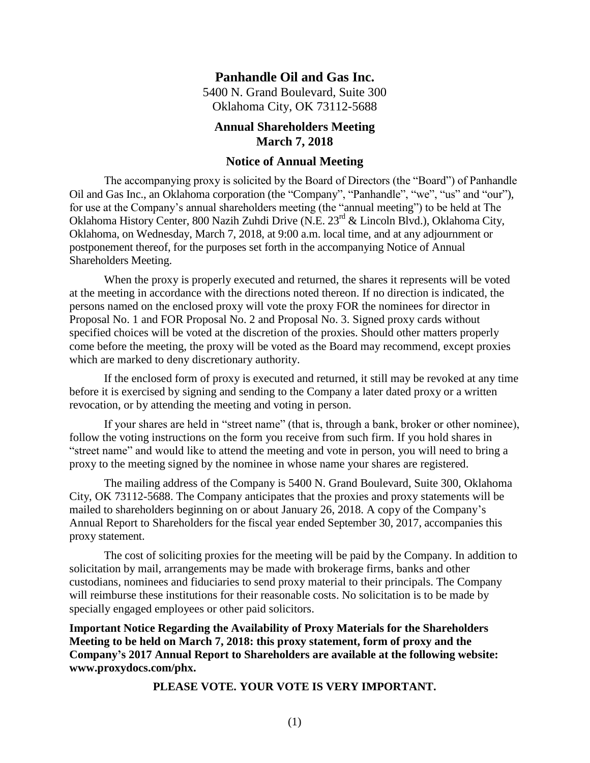## **Panhandle Oil and Gas Inc.**

5400 N. Grand Boulevard, Suite 300 Oklahoma City, OK 73112-5688

## **Annual Shareholders Meeting March 7, 2018**

### <span id="page-3-0"></span>**Notice of Annual Meeting**

The accompanying proxy is solicited by the Board of Directors (the "Board") of Panhandle Oil and Gas Inc., an Oklahoma corporation (the "Company", "Panhandle", "we", "us" and "our"), for use at the Company's annual shareholders meeting (the "annual meeting") to be held at The Oklahoma History Center, 800 Nazih Zuhdi Drive (N.E. 23rd & Lincoln Blvd.), Oklahoma City, Oklahoma, on Wednesday, March 7, 2018, at 9:00 a.m. local time, and at any adjournment or postponement thereof, for the purposes set forth in the accompanying Notice of Annual Shareholders Meeting.

When the proxy is properly executed and returned, the shares it represents will be voted at the meeting in accordance with the directions noted thereon. If no direction is indicated, the persons named on the enclosed proxy will vote the proxy FOR the nominees for director in Proposal No. 1 and FOR Proposal No. 2 and Proposal No. 3. Signed proxy cards without specified choices will be voted at the discretion of the proxies. Should other matters properly come before the meeting, the proxy will be voted as the Board may recommend, except proxies which are marked to deny discretionary authority.

If the enclosed form of proxy is executed and returned, it still may be revoked at any time before it is exercised by signing and sending to the Company a later dated proxy or a written revocation, or by attending the meeting and voting in person.

If your shares are held in "street name" (that is, through a bank, broker or other nominee), follow the voting instructions on the form you receive from such firm. If you hold shares in "street name" and would like to attend the meeting and vote in person, you will need to bring a proxy to the meeting signed by the nominee in whose name your shares are registered.

The mailing address of the Company is 5400 N. Grand Boulevard, Suite 300, Oklahoma City, OK 73112-5688. The Company anticipates that the proxies and proxy statements will be mailed to shareholders beginning on or about January 26, 2018. A copy of the Company's Annual Report to Shareholders for the fiscal year ended September 30, 2017, accompanies this proxy statement.

The cost of soliciting proxies for the meeting will be paid by the Company. In addition to solicitation by mail, arrangements may be made with brokerage firms, banks and other custodians, nominees and fiduciaries to send proxy material to their principals. The Company will reimburse these institutions for their reasonable costs. No solicitation is to be made by specially engaged employees or other paid solicitors.

**Important Notice Regarding the Availability of Proxy Materials for the Shareholders Meeting to be held on March 7, 2018: this proxy statement, form of proxy and the Company's 2017 Annual Report to Shareholders are available at the following website: www.proxydocs.com/phx.**

**PLEASE VOTE. YOUR VOTE IS VERY IMPORTANT.**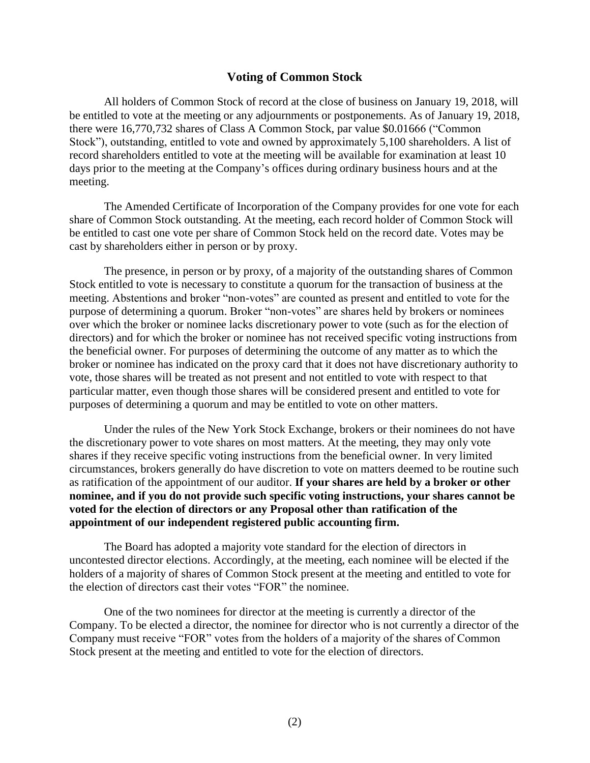### <span id="page-4-0"></span>**Voting of Common Stock**

All holders of Common Stock of record at the close of business on January 19, 2018, will be entitled to vote at the meeting or any adjournments or postponements. As of January 19, 2018, there were 16,770,732 shares of Class A Common Stock, par value \$0.01666 ("Common Stock"), outstanding, entitled to vote and owned by approximately 5,100 shareholders. A list of record shareholders entitled to vote at the meeting will be available for examination at least 10 days prior to the meeting at the Company's offices during ordinary business hours and at the meeting.

The Amended Certificate of Incorporation of the Company provides for one vote for each share of Common Stock outstanding. At the meeting, each record holder of Common Stock will be entitled to cast one vote per share of Common Stock held on the record date. Votes may be cast by shareholders either in person or by proxy.

The presence, in person or by proxy, of a majority of the outstanding shares of Common Stock entitled to vote is necessary to constitute a quorum for the transaction of business at the meeting. Abstentions and broker "non-votes" are counted as present and entitled to vote for the purpose of determining a quorum. Broker "non-votes" are shares held by brokers or nominees over which the broker or nominee lacks discretionary power to vote (such as for the election of directors) and for which the broker or nominee has not received specific voting instructions from the beneficial owner. For purposes of determining the outcome of any matter as to which the broker or nominee has indicated on the proxy card that it does not have discretionary authority to vote, those shares will be treated as not present and not entitled to vote with respect to that particular matter, even though those shares will be considered present and entitled to vote for purposes of determining a quorum and may be entitled to vote on other matters.

Under the rules of the New York Stock Exchange, brokers or their nominees do not have the discretionary power to vote shares on most matters. At the meeting, they may only vote shares if they receive specific voting instructions from the beneficial owner. In very limited circumstances, brokers generally do have discretion to vote on matters deemed to be routine such as ratification of the appointment of our auditor. **If your shares are held by a broker or other nominee, and if you do not provide such specific voting instructions, your shares cannot be voted for the election of directors or any Proposal other than ratification of the appointment of our independent registered public accounting firm.**

The Board has adopted a majority vote standard for the election of directors in uncontested director elections. Accordingly, at the meeting, each nominee will be elected if the holders of a majority of shares of Common Stock present at the meeting and entitled to vote for the election of directors cast their votes "FOR" the nominee.

One of the two nominees for director at the meeting is currently a director of the Company. To be elected a director, the nominee for director who is not currently a director of the Company must receive "FOR" votes from the holders of a majority of the shares of Common Stock present at the meeting and entitled to vote for the election of directors.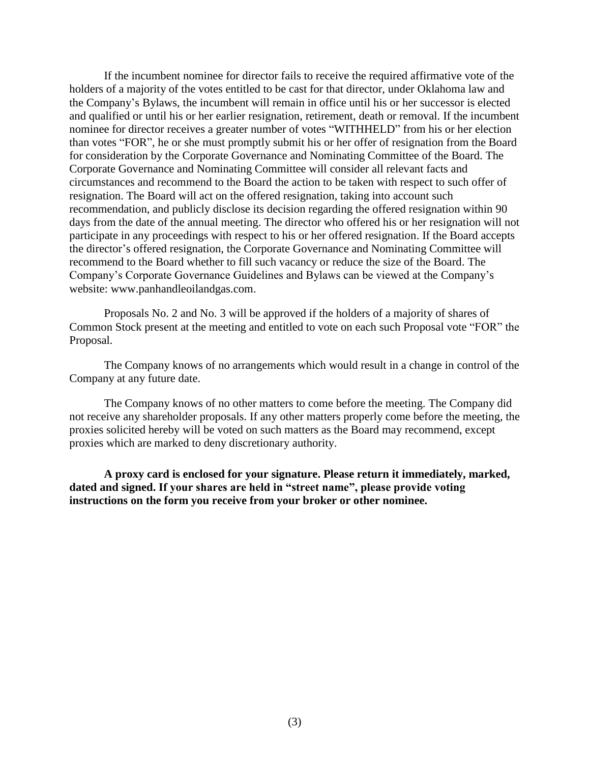If the incumbent nominee for director fails to receive the required affirmative vote of the holders of a majority of the votes entitled to be cast for that director, under Oklahoma law and the Company's Bylaws, the incumbent will remain in office until his or her successor is elected and qualified or until his or her earlier resignation, retirement, death or removal. If the incumbent nominee for director receives a greater number of votes "WITHHELD" from his or her election than votes "FOR", he or she must promptly submit his or her offer of resignation from the Board for consideration by the Corporate Governance and Nominating Committee of the Board. The Corporate Governance and Nominating Committee will consider all relevant facts and circumstances and recommend to the Board the action to be taken with respect to such offer of resignation. The Board will act on the offered resignation, taking into account such recommendation, and publicly disclose its decision regarding the offered resignation within 90 days from the date of the annual meeting. The director who offered his or her resignation will not participate in any proceedings with respect to his or her offered resignation. If the Board accepts the director's offered resignation, the Corporate Governance and Nominating Committee will recommend to the Board whether to fill such vacancy or reduce the size of the Board. The Company's Corporate Governance Guidelines and Bylaws can be viewed at the Company's website: www.panhandleoilandgas.com.

Proposals No. 2 and No. 3 will be approved if the holders of a majority of shares of Common Stock present at the meeting and entitled to vote on each such Proposal vote "FOR" the Proposal.

The Company knows of no arrangements which would result in a change in control of the Company at any future date.

The Company knows of no other matters to come before the meeting. The Company did not receive any shareholder proposals. If any other matters properly come before the meeting, the proxies solicited hereby will be voted on such matters as the Board may recommend, except proxies which are marked to deny discretionary authority.

**A proxy card is enclosed for your signature. Please return it immediately, marked, dated and signed. If your shares are held in "street name", please provide voting instructions on the form you receive from your broker or other nominee.**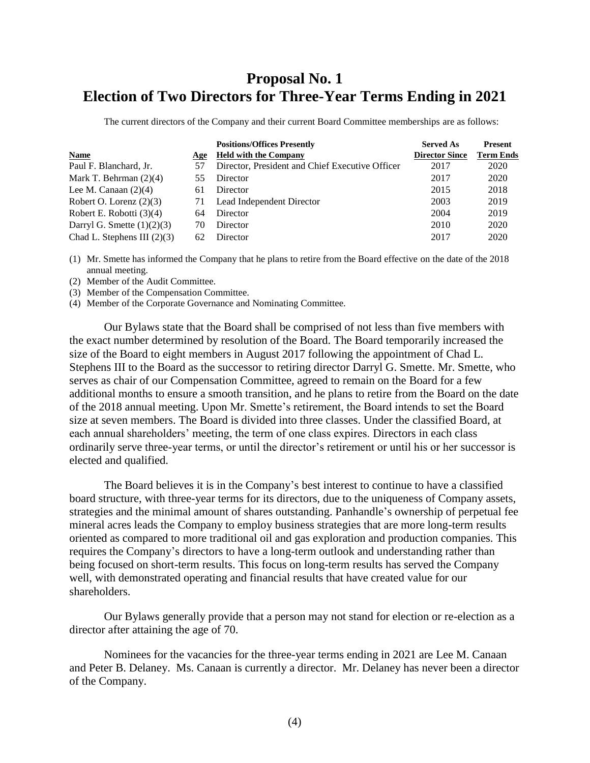# **Proposal No. 1 Election of Two Directors for Three-Year Terms Ending in 2021**

<span id="page-6-0"></span>The current directors of the Company and their current Board Committee memberships are as follows:

|                               |     | <b>Positions/Offices Presently</b>              | <b>Served As</b>      | <b>Present</b>   |
|-------------------------------|-----|-------------------------------------------------|-----------------------|------------------|
| <b>Name</b>                   | Age | <b>Held with the Company</b>                    | <b>Director Since</b> | <b>Term Ends</b> |
| Paul F. Blanchard, Jr.        | 57  | Director, President and Chief Executive Officer | 2017                  | 2020             |
| Mark T. Behrman $(2)(4)$      | 55  | Director                                        | 2017                  | 2020             |
| Lee M. Canaan $(2)(4)$        | 61  | Director                                        | 2015                  | 2018             |
| Robert O. Lorenz $(2)(3)$     | 71  | Lead Independent Director                       | 2003                  | 2019             |
| Robert E. Robotti (3)(4)      | 64  | Director                                        | 2004                  | 2019             |
| Darryl G. Smette $(1)(2)(3)$  | 70  | Director                                        | 2010                  | 2020             |
| Chad L. Stephens III $(2)(3)$ | 62  | Director                                        | 2017                  | 2020             |

(1) Mr. Smette has informed the Company that he plans to retire from the Board effective on the date of the 2018 annual meeting.

(2) Member of the Audit Committee.

(3) Member of the Compensation Committee.

(4) Member of the Corporate Governance and Nominating Committee.

Our Bylaws state that the Board shall be comprised of not less than five members with the exact number determined by resolution of the Board. The Board temporarily increased the size of the Board to eight members in August 2017 following the appointment of Chad L. Stephens III to the Board as the successor to retiring director Darryl G. Smette. Mr. Smette, who serves as chair of our Compensation Committee, agreed to remain on the Board for a few additional months to ensure a smooth transition, and he plans to retire from the Board on the date of the 2018 annual meeting. Upon Mr. Smette's retirement, the Board intends to set the Board size at seven members. The Board is divided into three classes. Under the classified Board, at each annual shareholders' meeting, the term of one class expires. Directors in each class ordinarily serve three-year terms, or until the director's retirement or until his or her successor is elected and qualified.

The Board believes it is in the Company's best interest to continue to have a classified board structure, with three-year terms for its directors, due to the uniqueness of Company assets, strategies and the minimal amount of shares outstanding. Panhandle's ownership of perpetual fee mineral acres leads the Company to employ business strategies that are more long-term results oriented as compared to more traditional oil and gas exploration and production companies. This requires the Company's directors to have a long-term outlook and understanding rather than being focused on short-term results. This focus on long-term results has served the Company well, with demonstrated operating and financial results that have created value for our shareholders.

Our Bylaws generally provide that a person may not stand for election or re-election as a director after attaining the age of 70.

Nominees for the vacancies for the three-year terms ending in 2021 are Lee M. Canaan and Peter B. Delaney. Ms. Canaan is currently a director. Mr. Delaney has never been a director of the Company.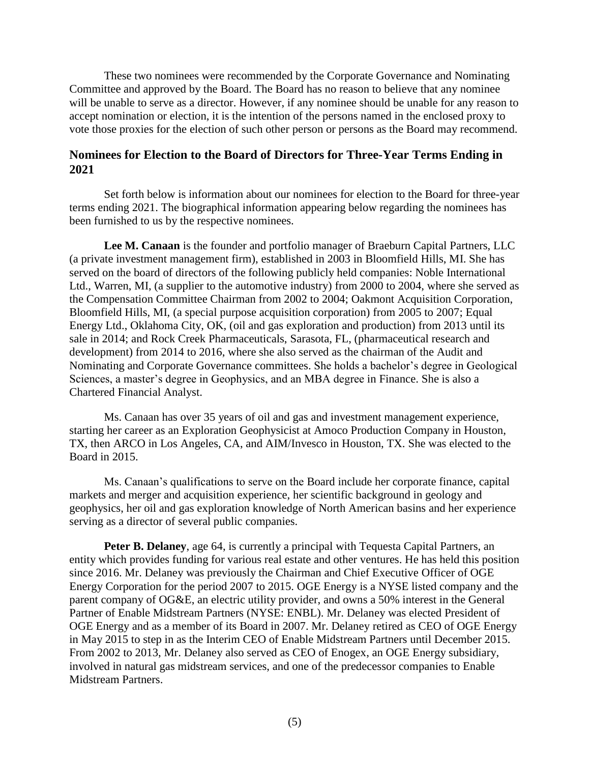These two nominees were recommended by the Corporate Governance and Nominating Committee and approved by the Board. The Board has no reason to believe that any nominee will be unable to serve as a director. However, if any nominee should be unable for any reason to accept nomination or election, it is the intention of the persons named in the enclosed proxy to vote those proxies for the election of such other person or persons as the Board may recommend.

# <span id="page-7-0"></span>**Nominees for Election to the Board of Directors for Three-Year Terms Ending in 2021**

Set forth below is information about our nominees for election to the Board for three-year terms ending 2021. The biographical information appearing below regarding the nominees has been furnished to us by the respective nominees.

**Lee M. Canaan** is the founder and portfolio manager of Braeburn Capital Partners, LLC (a private investment management firm), established in 2003 in Bloomfield Hills, MI. She has served on the board of directors of the following publicly held companies: Noble International Ltd., Warren, MI, (a supplier to the automotive industry) from 2000 to 2004, where she served as the Compensation Committee Chairman from 2002 to 2004; Oakmont Acquisition Corporation, Bloomfield Hills, MI, (a special purpose acquisition corporation) from 2005 to 2007; Equal Energy Ltd., Oklahoma City, OK, (oil and gas exploration and production) from 2013 until its sale in 2014; and Rock Creek Pharmaceuticals, Sarasota, FL, (pharmaceutical research and development) from 2014 to 2016, where she also served as the chairman of the Audit and Nominating and Corporate Governance committees. She holds a bachelor's degree in Geological Sciences, a master's degree in Geophysics, and an MBA degree in Finance. She is also a Chartered Financial Analyst.

Ms. Canaan has over 35 years of oil and gas and investment management experience, starting her career as an Exploration Geophysicist at Amoco Production Company in Houston, TX, then ARCO in Los Angeles, CA, and AIM/Invesco in Houston, TX. She was elected to the Board in 2015.

Ms. Canaan's qualifications to serve on the Board include her corporate finance, capital markets and merger and acquisition experience, her scientific background in geology and geophysics, her oil and gas exploration knowledge of North American basins and her experience serving as a director of several public companies.

**Peter B. Delaney**, age 64, is currently a principal with Tequesta Capital Partners, an entity which provides funding for various real estate and other ventures. He has held this position since 2016. Mr. Delaney was previously the Chairman and Chief Executive Officer of OGE Energy Corporation for the period 2007 to 2015. OGE Energy is a NYSE listed company and the parent company of OG&E, an electric utility provider, and owns a 50% interest in the General Partner of Enable Midstream Partners (NYSE: ENBL). Mr. Delaney was elected President of OGE Energy and as a member of its Board in 2007. Mr. Delaney retired as CEO of OGE Energy in May 2015 to step in as the Interim CEO of Enable Midstream Partners until December 2015. From 2002 to 2013, Mr. Delaney also served as CEO of Enogex, an OGE Energy subsidiary, involved in natural gas midstream services, and one of the predecessor companies to Enable Midstream Partners.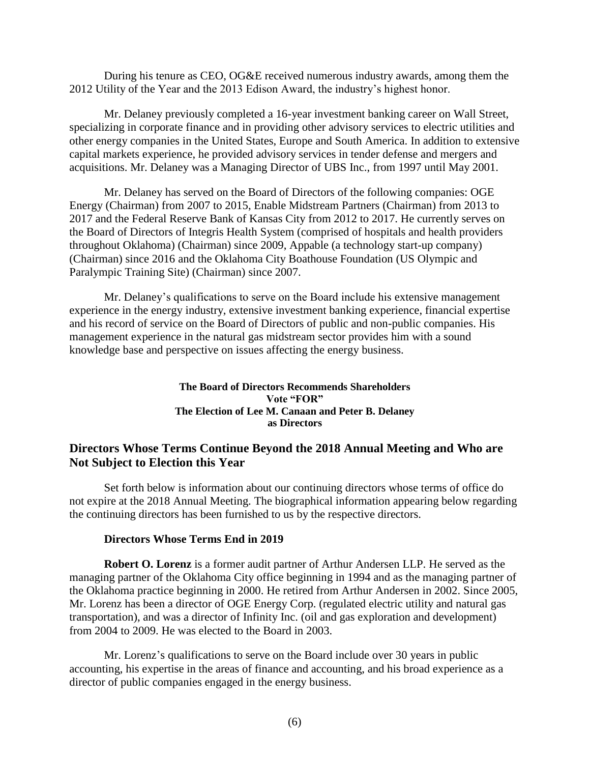During his tenure as CEO, OG&E received numerous industry awards, among them the 2012 Utility of the Year and the 2013 Edison Award, the industry's highest honor.

Mr. Delaney previously completed a 16-year investment banking career on Wall Street, specializing in corporate finance and in providing other advisory services to electric utilities and other energy companies in the United States, Europe and South America. In addition to extensive capital markets experience, he provided advisory services in tender defense and mergers and acquisitions. Mr. Delaney was a Managing Director of UBS Inc., from 1997 until May 2001.

Mr. Delaney has served on the Board of Directors of the following companies: OGE Energy (Chairman) from 2007 to 2015, Enable Midstream Partners (Chairman) from 2013 to 2017 and the Federal Reserve Bank of Kansas City from 2012 to 2017. He currently serves on the Board of Directors of Integris Health System (comprised of hospitals and health providers throughout Oklahoma) (Chairman) since 2009, Appable (a technology start-up company) (Chairman) since 2016 and the Oklahoma City Boathouse Foundation (US Olympic and Paralympic Training Site) (Chairman) since 2007.

Mr. Delaney's qualifications to serve on the Board include his extensive management experience in the energy industry, extensive investment banking experience, financial expertise and his record of service on the Board of Directors of public and non-public companies. His management experience in the natural gas midstream sector provides him with a sound knowledge base and perspective on issues affecting the energy business.

### <span id="page-8-0"></span>**The Board of Directors Recommends Shareholders Vote "FOR" The Election of Lee M. Canaan and Peter B. Delaney as Directors**

# **Directors Whose Terms Continue Beyond the 2018 Annual Meeting and Who are Not Subject to Election this Year**

Set forth below is information about our continuing directors whose terms of office do not expire at the 2018 Annual Meeting. The biographical information appearing below regarding the continuing directors has been furnished to us by the respective directors.

#### **Directors Whose Terms End in 2019**

**Robert O. Lorenz** is a former audit partner of Arthur Andersen LLP. He served as the managing partner of the Oklahoma City office beginning in 1994 and as the managing partner of the Oklahoma practice beginning in 2000. He retired from Arthur Andersen in 2002. Since 2005, Mr. Lorenz has been a director of OGE Energy Corp. (regulated electric utility and natural gas transportation), and was a director of Infinity Inc. (oil and gas exploration and development) from 2004 to 2009. He was elected to the Board in 2003.

Mr. Lorenz's qualifications to serve on the Board include over 30 years in public accounting, his expertise in the areas of finance and accounting, and his broad experience as a director of public companies engaged in the energy business.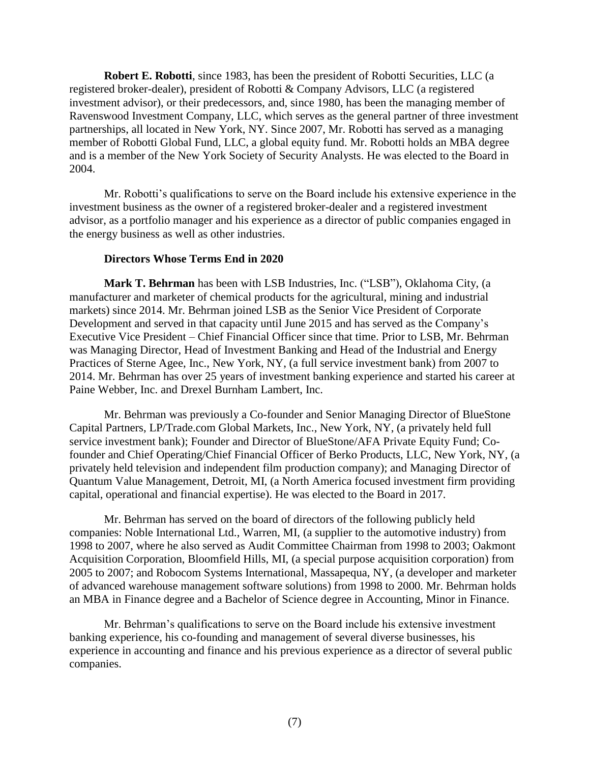**Robert E. Robotti**, since 1983, has been the president of Robotti Securities, LLC (a registered broker-dealer), president of Robotti & Company Advisors, LLC (a registered investment advisor), or their predecessors, and, since 1980, has been the managing member of Ravenswood Investment Company, LLC, which serves as the general partner of three investment partnerships, all located in New York, NY. Since 2007, Mr. Robotti has served as a managing member of Robotti Global Fund, LLC, a global equity fund. Mr. Robotti holds an MBA degree and is a member of the New York Society of Security Analysts. He was elected to the Board in 2004.

Mr. Robotti's qualifications to serve on the Board include his extensive experience in the investment business as the owner of a registered broker-dealer and a registered investment advisor, as a portfolio manager and his experience as a director of public companies engaged in the energy business as well as other industries.

### **Directors Whose Terms End in 2020**

**Mark T. Behrman** has been with LSB Industries, Inc. ("LSB"), Oklahoma City, (a manufacturer and marketer of chemical products for the agricultural, mining and industrial markets) since 2014. Mr. Behrman joined LSB as the Senior Vice President of Corporate Development and served in that capacity until June 2015 and has served as the Company's Executive Vice President – Chief Financial Officer since that time. Prior to LSB, Mr. Behrman was Managing Director, Head of Investment Banking and Head of the Industrial and Energy Practices of Sterne Agee, Inc., New York, NY, (a full service investment bank) from 2007 to 2014. Mr. Behrman has over 25 years of investment banking experience and started his career at Paine Webber, Inc. and Drexel Burnham Lambert, Inc.

Mr. Behrman was previously a Co-founder and Senior Managing Director of BlueStone Capital Partners, LP/Trade.com Global Markets, Inc., New York, NY, (a privately held full service investment bank); Founder and Director of BlueStone/AFA Private Equity Fund; Cofounder and Chief Operating/Chief Financial Officer of Berko Products, LLC, New York, NY, (a privately held television and independent film production company); and Managing Director of Quantum Value Management, Detroit, MI, (a North America focused investment firm providing capital, operational and financial expertise). He was elected to the Board in 2017.

Mr. Behrman has served on the board of directors of the following publicly held companies: Noble International Ltd., Warren, MI, (a supplier to the automotive industry) from 1998 to 2007, where he also served as Audit Committee Chairman from 1998 to 2003; Oakmont Acquisition Corporation, Bloomfield Hills, MI, (a special purpose acquisition corporation) from 2005 to 2007; and Robocom Systems International, Massapequa, NY, (a developer and marketer of advanced warehouse management software solutions) from 1998 to 2000. Mr. Behrman holds an MBA in Finance degree and a Bachelor of Science degree in Accounting, Minor in Finance.

Mr. Behrman's qualifications to serve on the Board include his extensive investment banking experience, his co-founding and management of several diverse businesses, his experience in accounting and finance and his previous experience as a director of several public companies.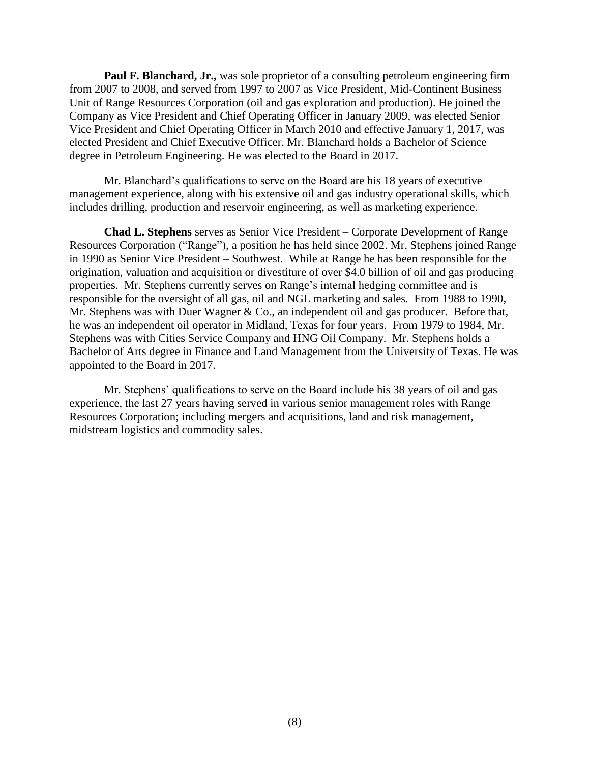**Paul F. Blanchard, Jr.,** was sole proprietor of a consulting petroleum engineering firm from 2007 to 2008, and served from 1997 to 2007 as Vice President, Mid-Continent Business Unit of Range Resources Corporation (oil and gas exploration and production). He joined the Company as Vice President and Chief Operating Officer in January 2009, was elected Senior Vice President and Chief Operating Officer in March 2010 and effective January 1, 2017, was elected President and Chief Executive Officer. Mr. Blanchard holds a Bachelor of Science degree in Petroleum Engineering. He was elected to the Board in 2017.

Mr. Blanchard's qualifications to serve on the Board are his 18 years of executive management experience, along with his extensive oil and gas industry operational skills, which includes drilling, production and reservoir engineering, as well as marketing experience.

**Chad L. Stephens** serves as Senior Vice President – Corporate Development of Range Resources Corporation ("Range"), a position he has held since 2002. Mr. Stephens joined Range in 1990 as Senior Vice President – Southwest. While at Range he has been responsible for the origination, valuation and acquisition or divestiture of over \$4.0 billion of oil and gas producing properties. Mr. Stephens currently serves on Range's internal hedging committee and is responsible for the oversight of all gas, oil and NGL marketing and sales. From 1988 to 1990, Mr. Stephens was with Duer Wagner & Co., an independent oil and gas producer. Before that, he was an independent oil operator in Midland, Texas for four years. From 1979 to 1984, Mr. Stephens was with Cities Service Company and HNG Oil Company. Mr. Stephens holds a Bachelor of Arts degree in Finance and Land Management from the University of Texas. He was appointed to the Board in 2017.

Mr. Stephens' qualifications to serve on the Board include his 38 years of oil and gas experience, the last 27 years having served in various senior management roles with Range Resources Corporation; including mergers and acquisitions, land and risk management, midstream logistics and commodity sales.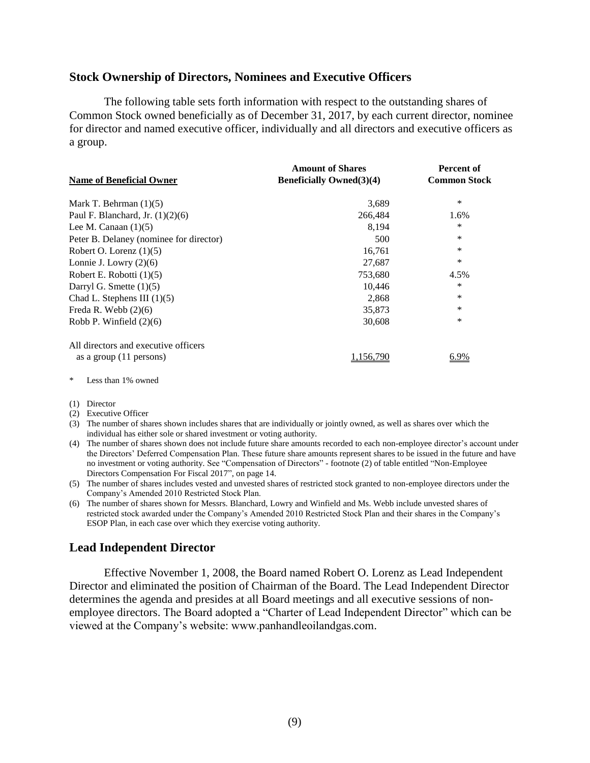### <span id="page-11-0"></span>**Stock Ownership of Directors, Nominees and Executive Officers**

The following table sets forth information with respect to the outstanding shares of Common Stock owned beneficially as of December 31, 2017, by each current director, nominee for director and named executive officer, individually and all directors and executive officers as a group.

| <b>Name of Beneficial Owner</b>         | <b>Amount of Shares</b><br><b>Beneficially Owned</b> (3)(4) | <b>Percent of</b><br><b>Common Stock</b> |
|-----------------------------------------|-------------------------------------------------------------|------------------------------------------|
|                                         |                                                             |                                          |
| Mark T. Behrman $(1)(5)$                | 3,689                                                       | *                                        |
| Paul F. Blanchard, Jr. $(1)(2)(6)$      | 266,484                                                     | 1.6%                                     |
| Lee M. Canaan $(1)(5)$                  | 8.194                                                       | ∗                                        |
| Peter B. Delaney (nominee for director) | 500                                                         | *                                        |
| Robert O. Lorenz $(1)(5)$               | 16,761                                                      | *                                        |
| Lonnie J. Lowry $(2)(6)$                | 27,687                                                      | *                                        |
| Robert E. Robotti $(1)(5)$              | 753,680                                                     | 4.5%                                     |
| Darryl G. Smette $(1)(5)$               | 10,446                                                      | *                                        |
| Chad L. Stephens III $(1)(5)$           | 2,868                                                       | *                                        |
| Freda R. Webb $(2)(6)$                  | 35,873                                                      | *                                        |
| Robb P. Winfield $(2)(6)$               | 30,608                                                      | *                                        |
| All directors and executive officers    |                                                             |                                          |
| as a group $(11 \text{ persons})$       | 1.156.790                                                   | 6.9%                                     |

\* Less than 1% owned

(1) Director

(2) Executive Officer

- (3) The number of shares shown includes shares that are individually or jointly owned, as well as shares over which the individual has either sole or shared investment or voting authority.
- (4) The number of shares shown does not include future share amounts recorded to each non-employee director's account under the Directors' Deferred Compensation Plan. These future share amounts represent shares to be issued in the future and have no investment or voting authority. See "Compensation of Directors" - footnote (2) of table entitled "Non-Employee Directors Compensation For Fiscal 2017", on page 14.
- (5) The number of shares includes vested and unvested shares of restricted stock granted to non-employee directors under the Company's Amended 2010 Restricted Stock Plan.
- (6) The number of shares shown for Messrs. Blanchard, Lowry and Winfield and Ms. Webb include unvested shares of restricted stock awarded under the Company's Amended 2010 Restricted Stock Plan and their shares in the Company's ESOP Plan, in each case over which they exercise voting authority.

# <span id="page-11-1"></span>**Lead Independent Director**

Effective November 1, 2008, the Board named Robert O. Lorenz as Lead Independent Director and eliminated the position of Chairman of the Board. The Lead Independent Director determines the agenda and presides at all Board meetings and all executive sessions of nonemployee directors. The Board adopted a "Charter of Lead Independent Director" which can be viewed at the Company's website: www.panhandleoilandgas.com.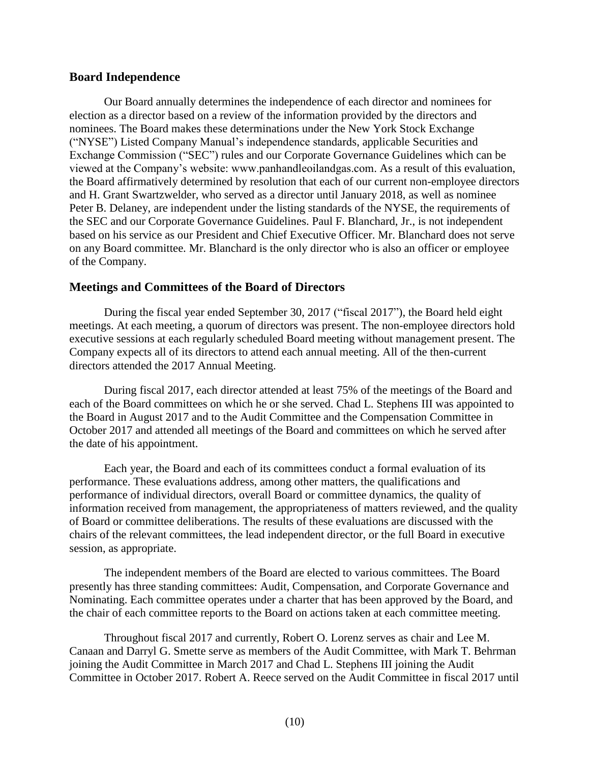### <span id="page-12-0"></span>**Board Independence**

Our Board annually determines the independence of each director and nominees for election as a director based on a review of the information provided by the directors and nominees. The Board makes these determinations under the New York Stock Exchange ("NYSE") Listed Company Manual's independence standards, applicable Securities and Exchange Commission ("SEC") rules and our Corporate Governance Guidelines which can be viewed at the Company's website: www.panhandleoilandgas.com. As a result of this evaluation, the Board affirmatively determined by resolution that each of our current non-employee directors and H. Grant Swartzwelder, who served as a director until January 2018, as well as nominee Peter B. Delaney, are independent under the listing standards of the NYSE, the requirements of the SEC and our Corporate Governance Guidelines. Paul F. Blanchard, Jr., is not independent based on his service as our President and Chief Executive Officer. Mr. Blanchard does not serve on any Board committee. Mr. Blanchard is the only director who is also an officer or employee of the Company.

### <span id="page-12-1"></span>**Meetings and Committees of the Board of Directors**

During the fiscal year ended September 30, 2017 ("fiscal 2017"), the Board held eight meetings. At each meeting, a quorum of directors was present. The non-employee directors hold executive sessions at each regularly scheduled Board meeting without management present. The Company expects all of its directors to attend each annual meeting. All of the then-current directors attended the 2017 Annual Meeting.

During fiscal 2017, each director attended at least 75% of the meetings of the Board and each of the Board committees on which he or she served. Chad L. Stephens III was appointed to the Board in August 2017 and to the Audit Committee and the Compensation Committee in October 2017 and attended all meetings of the Board and committees on which he served after the date of his appointment.

Each year, the Board and each of its committees conduct a formal evaluation of its performance. These evaluations address, among other matters, the qualifications and performance of individual directors, overall Board or committee dynamics, the quality of information received from management, the appropriateness of matters reviewed, and the quality of Board or committee deliberations. The results of these evaluations are discussed with the chairs of the relevant committees, the lead independent director, or the full Board in executive session, as appropriate.

The independent members of the Board are elected to various committees. The Board presently has three standing committees: Audit, Compensation, and Corporate Governance and Nominating. Each committee operates under a charter that has been approved by the Board, and the chair of each committee reports to the Board on actions taken at each committee meeting.

Throughout fiscal 2017 and currently, Robert O. Lorenz serves as chair and Lee M. Canaan and Darryl G. Smette serve as members of the Audit Committee, with Mark T. Behrman joining the Audit Committee in March 2017 and Chad L. Stephens III joining the Audit Committee in October 2017. Robert A. Reece served on the Audit Committee in fiscal 2017 until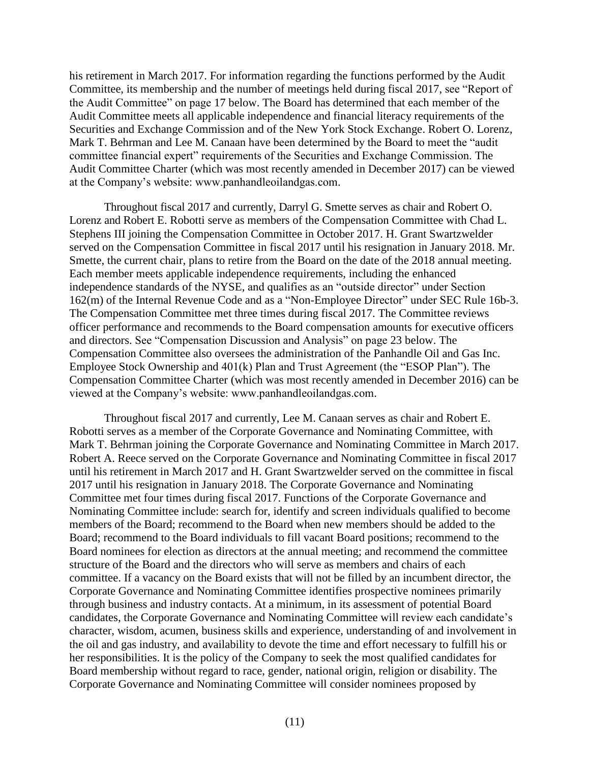his retirement in March 2017. For information regarding the functions performed by the Audit Committee, its membership and the number of meetings held during fiscal 2017, see "Report of the Audit Committee" on page 17 below. The Board has determined that each member of the Audit Committee meets all applicable independence and financial literacy requirements of the Securities and Exchange Commission and of the New York Stock Exchange. Robert O. Lorenz, Mark T. Behrman and Lee M. Canaan have been determined by the Board to meet the "audit committee financial expert" requirements of the Securities and Exchange Commission. The Audit Committee Charter (which was most recently amended in December 2017) can be viewed at the Company's website: www.panhandleoilandgas.com.

Throughout fiscal 2017 and currently, Darryl G. Smette serves as chair and Robert O. Lorenz and Robert E. Robotti serve as members of the Compensation Committee with Chad L. Stephens III joining the Compensation Committee in October 2017. H. Grant Swartzwelder served on the Compensation Committee in fiscal 2017 until his resignation in January 2018. Mr. Smette, the current chair, plans to retire from the Board on the date of the 2018 annual meeting. Each member meets applicable independence requirements, including the enhanced independence standards of the NYSE, and qualifies as an "outside director" under Section 162(m) of the Internal Revenue Code and as a "Non-Employee Director" under SEC Rule 16b-3. The Compensation Committee met three times during fiscal 2017. The Committee reviews officer performance and recommends to the Board compensation amounts for executive officers and directors. See "Compensation Discussion and Analysis" on page 23 below. The Compensation Committee also oversees the administration of the Panhandle Oil and Gas Inc. Employee Stock Ownership and 401(k) Plan and Trust Agreement (the "ESOP Plan"). The Compensation Committee Charter (which was most recently amended in December 2016) can be viewed at the Company's website: www.panhandleoilandgas.com.

Throughout fiscal 2017 and currently, Lee M. Canaan serves as chair and Robert E. Robotti serves as a member of the Corporate Governance and Nominating Committee, with Mark T. Behrman joining the Corporate Governance and Nominating Committee in March 2017. Robert A. Reece served on the Corporate Governance and Nominating Committee in fiscal 2017 until his retirement in March 2017 and H. Grant Swartzwelder served on the committee in fiscal 2017 until his resignation in January 2018. The Corporate Governance and Nominating Committee met four times during fiscal 2017. Functions of the Corporate Governance and Nominating Committee include: search for, identify and screen individuals qualified to become members of the Board; recommend to the Board when new members should be added to the Board; recommend to the Board individuals to fill vacant Board positions; recommend to the Board nominees for election as directors at the annual meeting; and recommend the committee structure of the Board and the directors who will serve as members and chairs of each committee. If a vacancy on the Board exists that will not be filled by an incumbent director, the Corporate Governance and Nominating Committee identifies prospective nominees primarily through business and industry contacts. At a minimum, in its assessment of potential Board candidates, the Corporate Governance and Nominating Committee will review each candidate's character, wisdom, acumen, business skills and experience, understanding of and involvement in the oil and gas industry, and availability to devote the time and effort necessary to fulfill his or her responsibilities. It is the policy of the Company to seek the most qualified candidates for Board membership without regard to race, gender, national origin, religion or disability. The Corporate Governance and Nominating Committee will consider nominees proposed by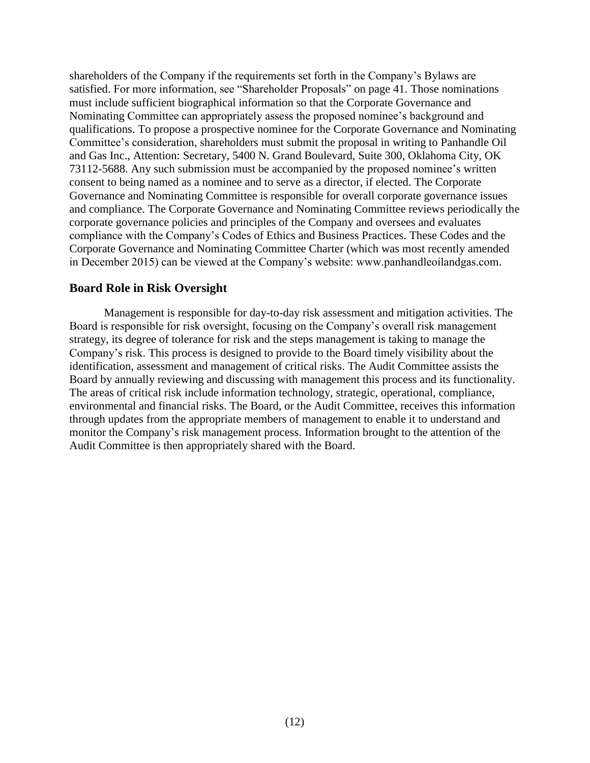shareholders of the Company if the requirements set forth in the Company's Bylaws are satisfied. For more information, see "Shareholder Proposals" on page 41. Those nominations must include sufficient biographical information so that the Corporate Governance and Nominating Committee can appropriately assess the proposed nominee's background and qualifications. To propose a prospective nominee for the Corporate Governance and Nominating Committee's consideration, shareholders must submit the proposal in writing to Panhandle Oil and Gas Inc., Attention: Secretary, 5400 N. Grand Boulevard, Suite 300, Oklahoma City, OK 73112-5688. Any such submission must be accompanied by the proposed nominee's written consent to being named as a nominee and to serve as a director, if elected. The Corporate Governance and Nominating Committee is responsible for overall corporate governance issues and compliance. The Corporate Governance and Nominating Committee reviews periodically the corporate governance policies and principles of the Company and oversees and evaluates compliance with the Company's Codes of Ethics and Business Practices. These Codes and the Corporate Governance and Nominating Committee Charter (which was most recently amended in December 2015) can be viewed at the Company's website: www.panhandleoilandgas.com.

## <span id="page-14-0"></span>**Board Role in Risk Oversight**

Management is responsible for day-to-day risk assessment and mitigation activities. The Board is responsible for risk oversight, focusing on the Company's overall risk management strategy, its degree of tolerance for risk and the steps management is taking to manage the Company's risk. This process is designed to provide to the Board timely visibility about the identification, assessment and management of critical risks. The Audit Committee assists the Board by annually reviewing and discussing with management this process and its functionality. The areas of critical risk include information technology, strategic, operational, compliance, environmental and financial risks. The Board, or the Audit Committee, receives this information through updates from the appropriate members of management to enable it to understand and monitor the Company's risk management process. Information brought to the attention of the Audit Committee is then appropriately shared with the Board.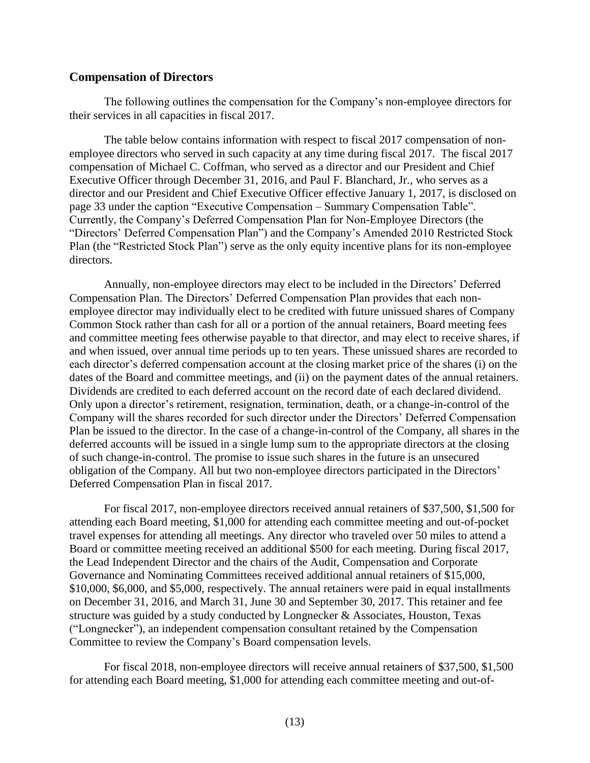### <span id="page-15-0"></span>**Compensation of Directors**

The following outlines the compensation for the Company's non-employee directors for their services in all capacities in fiscal 2017.

The table below contains information with respect to fiscal 2017 compensation of nonemployee directors who served in such capacity at any time during fiscal 2017. The fiscal 2017 compensation of Michael C. Coffman, who served as a director and our President and Chief Executive Officer through December 31, 2016, and Paul F. Blanchard, Jr., who serves as a director and our President and Chief Executive Officer effective January 1, 2017, is disclosed on page 33 under the caption "Executive Compensation – Summary Compensation Table". Currently, the Company's Deferred Compensation Plan for Non-Employee Directors (the "Directors' Deferred Compensation Plan") and the Company's Amended 2010 Restricted Stock Plan (the "Restricted Stock Plan") serve as the only equity incentive plans for its non-employee directors.

Annually, non-employee directors may elect to be included in the Directors' Deferred Compensation Plan. The Directors' Deferred Compensation Plan provides that each nonemployee director may individually elect to be credited with future unissued shares of Company Common Stock rather than cash for all or a portion of the annual retainers, Board meeting fees and committee meeting fees otherwise payable to that director, and may elect to receive shares, if and when issued, over annual time periods up to ten years. These unissued shares are recorded to each director's deferred compensation account at the closing market price of the shares (i) on the dates of the Board and committee meetings, and (ii) on the payment dates of the annual retainers. Dividends are credited to each deferred account on the record date of each declared dividend. Only upon a director's retirement, resignation, termination, death, or a change-in-control of the Company will the shares recorded for such director under the Directors' Deferred Compensation Plan be issued to the director. In the case of a change-in-control of the Company, all shares in the deferred accounts will be issued in a single lump sum to the appropriate directors at the closing of such change-in-control. The promise to issue such shares in the future is an unsecured obligation of the Company. All but two non-employee directors participated in the Directors' Deferred Compensation Plan in fiscal 2017.

For fiscal 2017, non-employee directors received annual retainers of \$37,500, \$1,500 for attending each Board meeting, \$1,000 for attending each committee meeting and out-of-pocket travel expenses for attending all meetings. Any director who traveled over 50 miles to attend a Board or committee meeting received an additional \$500 for each meeting. During fiscal 2017, the Lead Independent Director and the chairs of the Audit, Compensation and Corporate Governance and Nominating Committees received additional annual retainers of \$15,000, \$10,000, \$6,000, and \$5,000, respectively. The annual retainers were paid in equal installments on December 31, 2016, and March 31, June 30 and September 30, 2017. This retainer and fee structure was guided by a study conducted by Longnecker & Associates, Houston, Texas ("Longnecker"), an independent compensation consultant retained by the Compensation Committee to review the Company's Board compensation levels.

For fiscal 2018, non-employee directors will receive annual retainers of \$37,500, \$1,500 for attending each Board meeting, \$1,000 for attending each committee meeting and out-of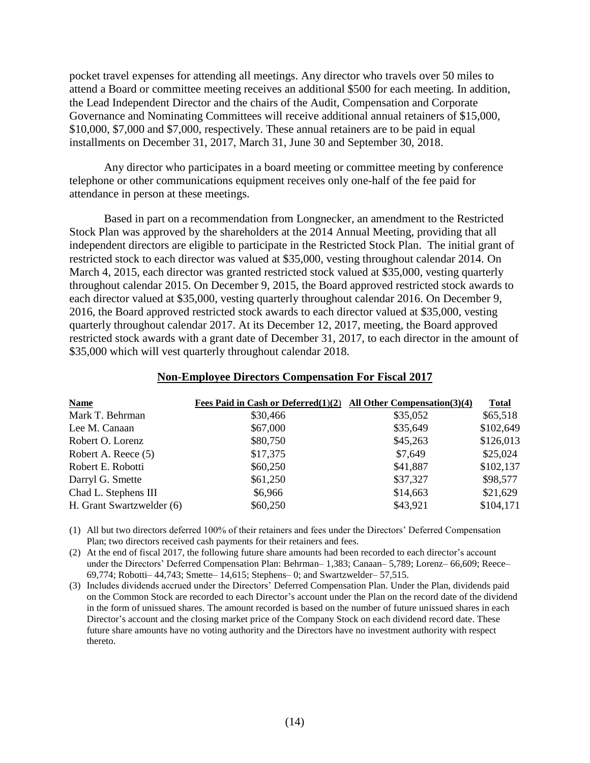pocket travel expenses for attending all meetings. Any director who travels over 50 miles to attend a Board or committee meeting receives an additional \$500 for each meeting. In addition, the Lead Independent Director and the chairs of the Audit, Compensation and Corporate Governance and Nominating Committees will receive additional annual retainers of \$15,000, \$10,000, \$7,000 and \$7,000, respectively. These annual retainers are to be paid in equal installments on December 31, 2017, March 31, June 30 and September 30, 2018.

Any director who participates in a board meeting or committee meeting by conference telephone or other communications equipment receives only one-half of the fee paid for attendance in person at these meetings.

Based in part on a recommendation from Longnecker, an amendment to the Restricted Stock Plan was approved by the shareholders at the 2014 Annual Meeting, providing that all independent directors are eligible to participate in the Restricted Stock Plan. The initial grant of restricted stock to each director was valued at \$35,000, vesting throughout calendar 2014. On March 4, 2015, each director was granted restricted stock valued at \$35,000, vesting quarterly throughout calendar 2015. On December 9, 2015, the Board approved restricted stock awards to each director valued at \$35,000, vesting quarterly throughout calendar 2016. On December 9, 2016, the Board approved restricted stock awards to each director valued at \$35,000, vesting quarterly throughout calendar 2017. At its December 12, 2017, meeting, the Board approved restricted stock awards with a grant date of December 31, 2017, to each director in the amount of \$35,000 which will vest quarterly throughout calendar 2018.

| <b>Name</b>               | Fees Paid in Cash or Deferred $(1)(2)$ All Other Compensation $(3)(4)$ |          | <b>Total</b> |
|---------------------------|------------------------------------------------------------------------|----------|--------------|
| Mark T. Behrman           | \$30,466                                                               | \$35,052 | \$65,518     |
| Lee M. Canaan             | \$67,000                                                               | \$35,649 | \$102,649    |
| Robert O. Lorenz          | \$80,750                                                               | \$45,263 | \$126,013    |
| Robert A. Reece (5)       | \$17,375                                                               | \$7,649  | \$25,024     |
| Robert E. Robotti         | \$60,250                                                               | \$41,887 | \$102,137    |
| Darryl G. Smette          | \$61,250                                                               | \$37,327 | \$98,577     |
| Chad L. Stephens III      | \$6,966                                                                | \$14,663 | \$21,629     |
| H. Grant Swartzwelder (6) | \$60,250                                                               | \$43,921 | \$104,171    |

#### **Non-Employee Directors Compensation For Fiscal 2017**

(1) All but two directors deferred 100% of their retainers and fees under the Directors' Deferred Compensation Plan; two directors received cash payments for their retainers and fees.

(2) At the end of fiscal 2017, the following future share amounts had been recorded to each director's account under the Directors' Deferred Compensation Plan: Behrman– 1,383; Canaan– 5,789; Lorenz– 66,609; Reece– 69,774; Robotti– 44,743; Smette– 14,615; Stephens– 0; and Swartzwelder– 57,515.

(3) Includes dividends accrued under the Directors' Deferred Compensation Plan. Under the Plan, dividends paid on the Common Stock are recorded to each Director's account under the Plan on the record date of the dividend in the form of unissued shares. The amount recorded is based on the number of future unissued shares in each Director's account and the closing market price of the Company Stock on each dividend record date. These future share amounts have no voting authority and the Directors have no investment authority with respect thereto.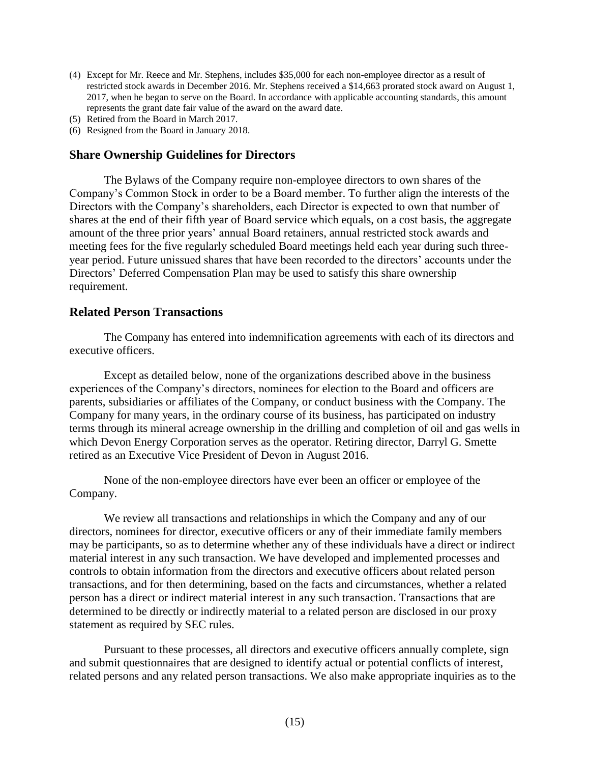- (4) Except for Mr. Reece and Mr. Stephens, includes \$35,000 for each non-employee director as a result of restricted stock awards in December 2016. Mr. Stephens received a \$14,663 prorated stock award on August 1, 2017, when he began to serve on the Board. In accordance with applicable accounting standards, this amount represents the grant date fair value of the award on the award date.
- (5) Retired from the Board in March 2017.
- <span id="page-17-0"></span>(6) Resigned from the Board in January 2018.

### **Share Ownership Guidelines for Directors**

The Bylaws of the Company require non-employee directors to own shares of the Company's Common Stock in order to be a Board member. To further align the interests of the Directors with the Company's shareholders, each Director is expected to own that number of shares at the end of their fifth year of Board service which equals, on a cost basis, the aggregate amount of the three prior years' annual Board retainers, annual restricted stock awards and meeting fees for the five regularly scheduled Board meetings held each year during such threeyear period. Future unissued shares that have been recorded to the directors' accounts under the Directors' Deferred Compensation Plan may be used to satisfy this share ownership requirement.

### <span id="page-17-1"></span>**Related Person Transactions**

The Company has entered into indemnification agreements with each of its directors and executive officers.

Except as detailed below, none of the organizations described above in the business experiences of the Company's directors, nominees for election to the Board and officers are parents, subsidiaries or affiliates of the Company, or conduct business with the Company. The Company for many years, in the ordinary course of its business, has participated on industry terms through its mineral acreage ownership in the drilling and completion of oil and gas wells in which Devon Energy Corporation serves as the operator. Retiring director, Darryl G. Smette retired as an Executive Vice President of Devon in August 2016.

None of the non-employee directors have ever been an officer or employee of the Company.

We review all transactions and relationships in which the Company and any of our directors, nominees for director, executive officers or any of their immediate family members may be participants, so as to determine whether any of these individuals have a direct or indirect material interest in any such transaction. We have developed and implemented processes and controls to obtain information from the directors and executive officers about related person transactions, and for then determining, based on the facts and circumstances, whether a related person has a direct or indirect material interest in any such transaction. Transactions that are determined to be directly or indirectly material to a related person are disclosed in our proxy statement as required by SEC rules.

Pursuant to these processes, all directors and executive officers annually complete, sign and submit questionnaires that are designed to identify actual or potential conflicts of interest, related persons and any related person transactions. We also make appropriate inquiries as to the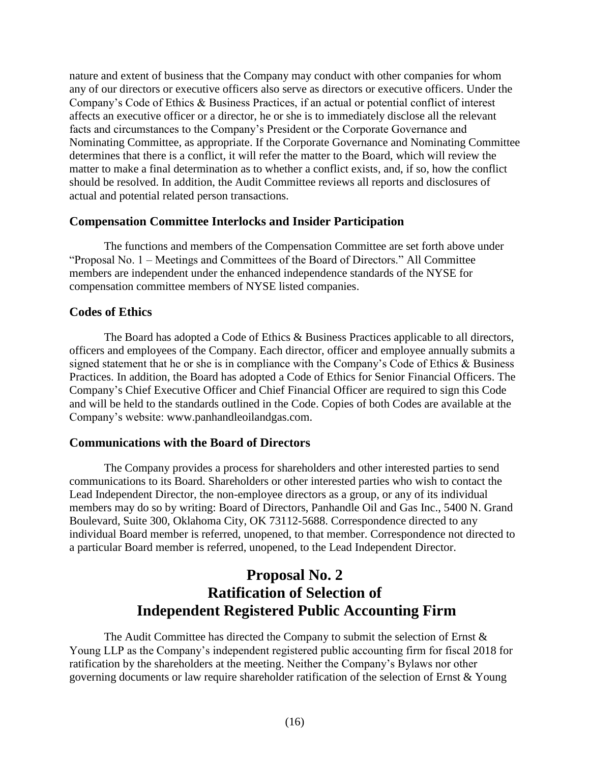nature and extent of business that the Company may conduct with other companies for whom any of our directors or executive officers also serve as directors or executive officers. Under the Company's Code of Ethics & Business Practices, if an actual or potential conflict of interest affects an executive officer or a director, he or she is to immediately disclose all the relevant facts and circumstances to the Company's President or the Corporate Governance and Nominating Committee, as appropriate. If the Corporate Governance and Nominating Committee determines that there is a conflict, it will refer the matter to the Board, which will review the matter to make a final determination as to whether a conflict exists, and, if so, how the conflict should be resolved. In addition, the Audit Committee reviews all reports and disclosures of actual and potential related person transactions.

# <span id="page-18-0"></span>**Compensation Committee Interlocks and Insider Participation**

The functions and members of the Compensation Committee are set forth above under "Proposal No. 1 – Meetings and Committees of the Board of Directors." All Committee members are independent under the enhanced independence standards of the NYSE for compensation committee members of NYSE listed companies.

# <span id="page-18-1"></span>**Codes of Ethics**

The Board has adopted a Code of Ethics & Business Practices applicable to all directors, officers and employees of the Company. Each director, officer and employee annually submits a signed statement that he or she is in compliance with the Company's Code of Ethics & Business Practices. In addition, the Board has adopted a Code of Ethics for Senior Financial Officers. The Company's Chief Executive Officer and Chief Financial Officer are required to sign this Code and will be held to the standards outlined in the Code. Copies of both Codes are available at the Company's website: www.panhandleoilandgas.com.

# <span id="page-18-2"></span>**Communications with the Board of Directors**

The Company provides a process for shareholders and other interested parties to send communications to its Board. Shareholders or other interested parties who wish to contact the Lead Independent Director, the non-employee directors as a group, or any of its individual members may do so by writing: Board of Directors, Panhandle Oil and Gas Inc., 5400 N. Grand Boulevard, Suite 300, Oklahoma City, OK 73112-5688. Correspondence directed to any individual Board member is referred, unopened, to that member. Correspondence not directed to a particular Board member is referred, unopened, to the Lead Independent Director.

# <span id="page-18-3"></span>**Proposal No. 2 Ratification of Selection of Independent Registered Public Accounting Firm**

The Audit Committee has directed the Company to submit the selection of Ernst  $\&$ Young LLP as the Company's independent registered public accounting firm for fiscal 2018 for ratification by the shareholders at the meeting. Neither the Company's Bylaws nor other governing documents or law require shareholder ratification of the selection of Ernst & Young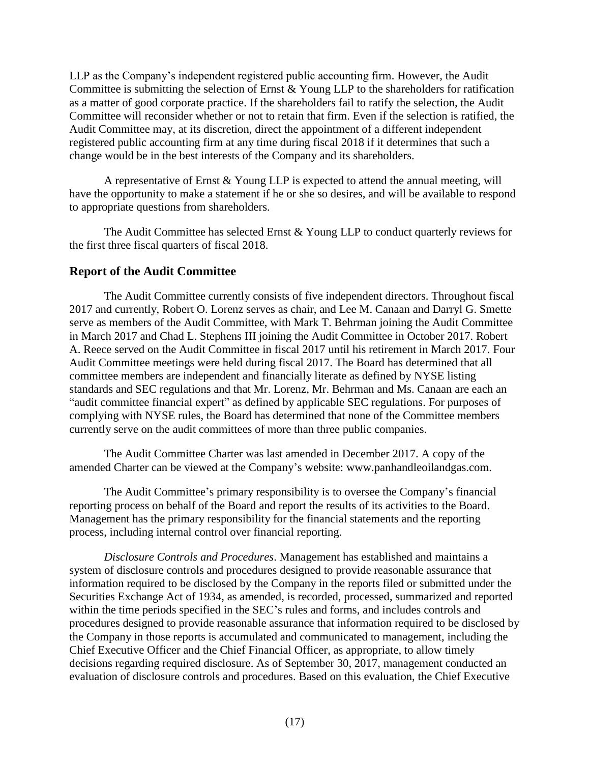LLP as the Company's independent registered public accounting firm. However, the Audit Committee is submitting the selection of Ernst & Young LLP to the shareholders for ratification as a matter of good corporate practice. If the shareholders fail to ratify the selection, the Audit Committee will reconsider whether or not to retain that firm. Even if the selection is ratified, the Audit Committee may, at its discretion, direct the appointment of a different independent registered public accounting firm at any time during fiscal 2018 if it determines that such a change would be in the best interests of the Company and its shareholders.

A representative of Ernst & Young LLP is expected to attend the annual meeting, will have the opportunity to make a statement if he or she so desires, and will be available to respond to appropriate questions from shareholders.

The Audit Committee has selected Ernst & Young LLP to conduct quarterly reviews for the first three fiscal quarters of fiscal 2018.

# <span id="page-19-0"></span>**Report of the Audit Committee**

The Audit Committee currently consists of five independent directors. Throughout fiscal 2017 and currently, Robert O. Lorenz serves as chair, and Lee M. Canaan and Darryl G. Smette serve as members of the Audit Committee, with Mark T. Behrman joining the Audit Committee in March 2017 and Chad L. Stephens III joining the Audit Committee in October 2017. Robert A. Reece served on the Audit Committee in fiscal 2017 until his retirement in March 2017. Four Audit Committee meetings were held during fiscal 2017. The Board has determined that all committee members are independent and financially literate as defined by NYSE listing standards and SEC regulations and that Mr. Lorenz, Mr. Behrman and Ms. Canaan are each an "audit committee financial expert" as defined by applicable SEC regulations. For purposes of complying with NYSE rules, the Board has determined that none of the Committee members currently serve on the audit committees of more than three public companies.

The Audit Committee Charter was last amended in December 2017. A copy of the amended Charter can be viewed at the Company's website: www.panhandleoilandgas.com.

The Audit Committee's primary responsibility is to oversee the Company's financial reporting process on behalf of the Board and report the results of its activities to the Board. Management has the primary responsibility for the financial statements and the reporting process, including internal control over financial reporting.

*Disclosure Controls and Procedures*. Management has established and maintains a system of disclosure controls and procedures designed to provide reasonable assurance that information required to be disclosed by the Company in the reports filed or submitted under the Securities Exchange Act of 1934, as amended, is recorded, processed, summarized and reported within the time periods specified in the SEC's rules and forms, and includes controls and procedures designed to provide reasonable assurance that information required to be disclosed by the Company in those reports is accumulated and communicated to management, including the Chief Executive Officer and the Chief Financial Officer, as appropriate, to allow timely decisions regarding required disclosure. As of September 30, 2017, management conducted an evaluation of disclosure controls and procedures. Based on this evaluation, the Chief Executive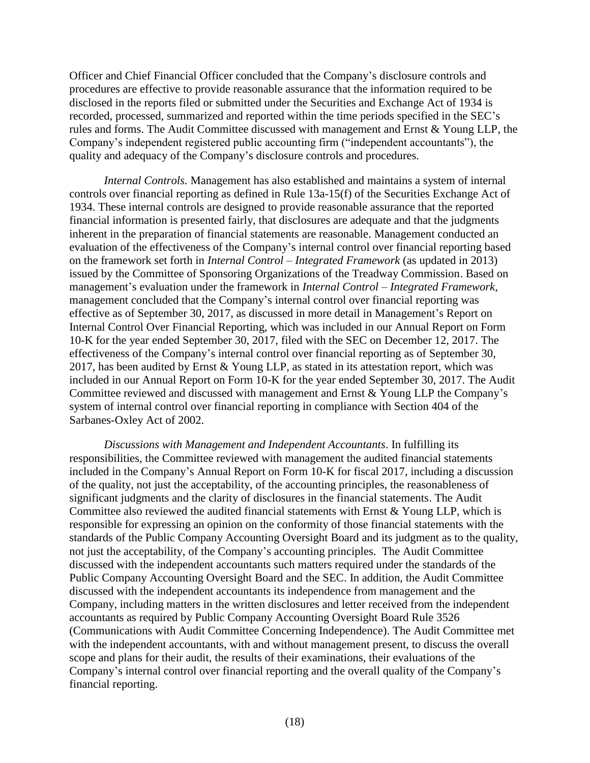Officer and Chief Financial Officer concluded that the Company's disclosure controls and procedures are effective to provide reasonable assurance that the information required to be disclosed in the reports filed or submitted under the Securities and Exchange Act of 1934 is recorded, processed, summarized and reported within the time periods specified in the SEC's rules and forms. The Audit Committee discussed with management and Ernst & Young LLP, the Company's independent registered public accounting firm ("independent accountants"), the quality and adequacy of the Company's disclosure controls and procedures.

*Internal Controls.* Management has also established and maintains a system of internal controls over financial reporting as defined in Rule 13a-15(f) of the Securities Exchange Act of 1934. These internal controls are designed to provide reasonable assurance that the reported financial information is presented fairly, that disclosures are adequate and that the judgments inherent in the preparation of financial statements are reasonable. Management conducted an evaluation of the effectiveness of the Company's internal control over financial reporting based on the framework set forth in *Internal Control – Integrated Framework* (as updated in 2013) issued by the Committee of Sponsoring Organizations of the Treadway Commission. Based on management's evaluation under the framework in *Internal Control – Integrated Framework*, management concluded that the Company's internal control over financial reporting was effective as of September 30, 2017, as discussed in more detail in Management's Report on Internal Control Over Financial Reporting, which was included in our Annual Report on Form 10-K for the year ended September 30, 2017, filed with the SEC on December 12, 2017. The effectiveness of the Company's internal control over financial reporting as of September 30, 2017, has been audited by Ernst & Young LLP, as stated in its attestation report, which was included in our Annual Report on Form 10-K for the year ended September 30, 2017. The Audit Committee reviewed and discussed with management and Ernst & Young LLP the Company's system of internal control over financial reporting in compliance with Section 404 of the Sarbanes-Oxley Act of 2002.

*Discussions with Management and Independent Accountants*. In fulfilling its responsibilities, the Committee reviewed with management the audited financial statements included in the Company's Annual Report on Form 10-K for fiscal 2017, including a discussion of the quality, not just the acceptability, of the accounting principles, the reasonableness of significant judgments and the clarity of disclosures in the financial statements. The Audit Committee also reviewed the audited financial statements with Ernst & Young LLP, which is responsible for expressing an opinion on the conformity of those financial statements with the standards of the Public Company Accounting Oversight Board and its judgment as to the quality, not just the acceptability, of the Company's accounting principles. The Audit Committee discussed with the independent accountants such matters required under the standards of the Public Company Accounting Oversight Board and the SEC. In addition, the Audit Committee discussed with the independent accountants its independence from management and the Company, including matters in the written disclosures and letter received from the independent accountants as required by Public Company Accounting Oversight Board Rule 3526 (Communications with Audit Committee Concerning Independence). The Audit Committee met with the independent accountants, with and without management present, to discuss the overall scope and plans for their audit, the results of their examinations, their evaluations of the Company's internal control over financial reporting and the overall quality of the Company's financial reporting.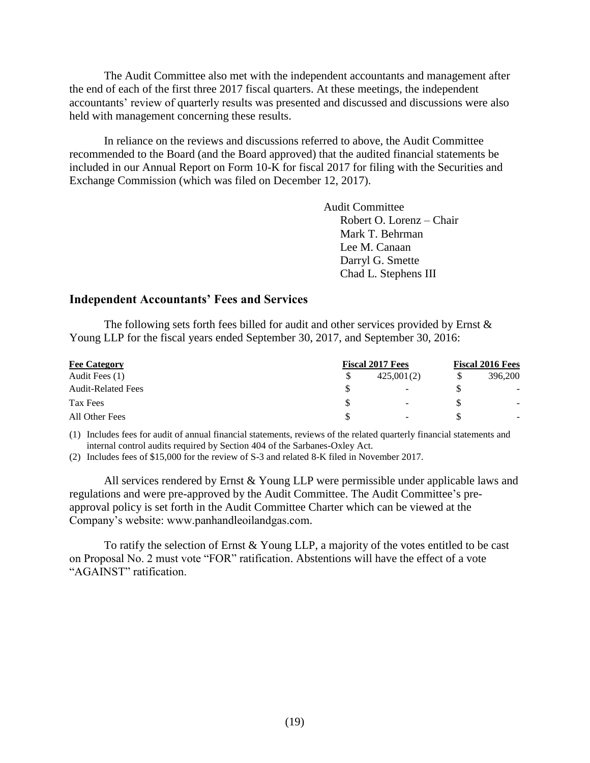The Audit Committee also met with the independent accountants and management after the end of each of the first three 2017 fiscal quarters. At these meetings, the independent accountants' review of quarterly results was presented and discussed and discussions were also held with management concerning these results.

In reliance on the reviews and discussions referred to above, the Audit Committee recommended to the Board (and the Board approved) that the audited financial statements be included in our Annual Report on Form 10-K for fiscal 2017 for filing with the Securities and Exchange Commission (which was filed on December 12, 2017).

> Audit Committee Robert O. Lorenz – Chair Mark T. Behrman Lee M. Canaan Darryl G. Smette Chad L. Stephens III

### <span id="page-21-0"></span>**Independent Accountants' Fees and Services**

The following sets forth fees billed for audit and other services provided by Ernst  $\&$ Young LLP for the fiscal years ended September 30, 2017, and September 30, 2016:

| <b>Fee Category</b>       | <b>Fiscal 2017 Fees</b> |                          |   | <b>Fiscal 2016 Fees</b> |  |
|---------------------------|-------------------------|--------------------------|---|-------------------------|--|
| Audit Fees (1)            |                         | 425,001(2)               | S | 396,200                 |  |
| <b>Audit-Related Fees</b> |                         | $\overline{\phantom{a}}$ |   | $\sim$                  |  |
| Tax Fees                  |                         | $\overline{\phantom{a}}$ |   | ۰.                      |  |
| All Other Fees            |                         | $\overline{\phantom{0}}$ |   | $\sim$                  |  |

(1) Includes fees for audit of annual financial statements, reviews of the related quarterly financial statements and internal control audits required by Section 404 of the Sarbanes-Oxley Act.

(2) Includes fees of \$15,000 for the review of S-3 and related 8-K filed in November 2017.

All services rendered by Ernst & Young LLP were permissible under applicable laws and regulations and were pre-approved by the Audit Committee. The Audit Committee's preapproval policy is set forth in the Audit Committee Charter which can be viewed at the Company's website: www.panhandleoilandgas.com.

To ratify the selection of Ernst  $& Young LLP$ , a majority of the votes entitled to be cast on Proposal No. 2 must vote "FOR" ratification. Abstentions will have the effect of a vote "AGAINST" ratification.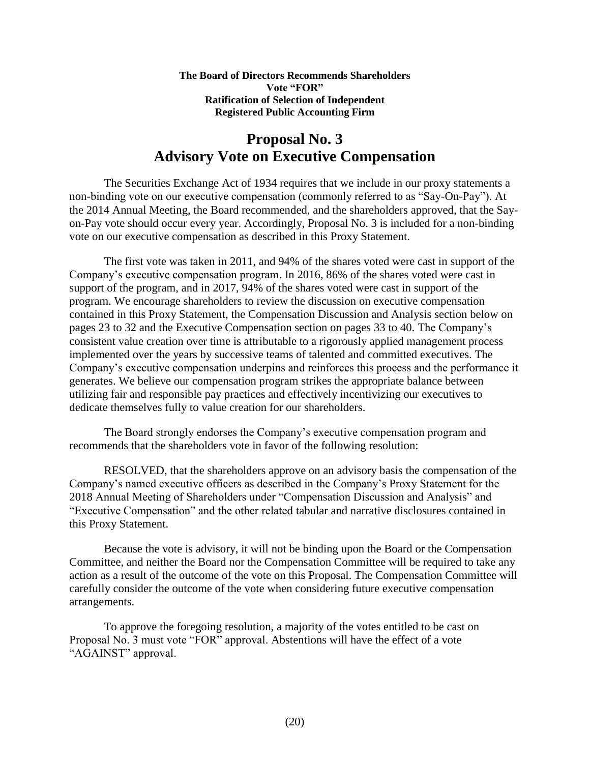#### <span id="page-22-0"></span>**The Board of Directors Recommends Shareholders Vote "FOR" Ratification of Selection of Independent Registered Public Accounting Firm**

# **Proposal No. 3 Advisory Vote on Executive Compensation**

The Securities Exchange Act of 1934 requires that we include in our proxy statements a non-binding vote on our executive compensation (commonly referred to as "Say-On-Pay"). At the 2014 Annual Meeting, the Board recommended, and the shareholders approved, that the Sayon-Pay vote should occur every year. Accordingly, Proposal No. 3 is included for a non-binding vote on our executive compensation as described in this Proxy Statement.

The first vote was taken in 2011, and 94% of the shares voted were cast in support of the Company's executive compensation program. In 2016, 86% of the shares voted were cast in support of the program, and in 2017, 94% of the shares voted were cast in support of the program. We encourage shareholders to review the discussion on executive compensation contained in this Proxy Statement, the Compensation Discussion and Analysis section below on pages 23 to 32 and the Executive Compensation section on pages 33 to 40. The Company's consistent value creation over time is attributable to a rigorously applied management process implemented over the years by successive teams of talented and committed executives. The Company's executive compensation underpins and reinforces this process and the performance it generates. We believe our compensation program strikes the appropriate balance between utilizing fair and responsible pay practices and effectively incentivizing our executives to dedicate themselves fully to value creation for our shareholders.

The Board strongly endorses the Company's executive compensation program and recommends that the shareholders vote in favor of the following resolution:

RESOLVED, that the shareholders approve on an advisory basis the compensation of the Company's named executive officers as described in the Company's Proxy Statement for the 2018 Annual Meeting of Shareholders under "Compensation Discussion and Analysis" and "Executive Compensation" and the other related tabular and narrative disclosures contained in this Proxy Statement.

Because the vote is advisory, it will not be binding upon the Board or the Compensation Committee, and neither the Board nor the Compensation Committee will be required to take any action as a result of the outcome of the vote on this Proposal. The Compensation Committee will carefully consider the outcome of the vote when considering future executive compensation arrangements.

To approve the foregoing resolution, a majority of the votes entitled to be cast on Proposal No. 3 must vote "FOR" approval. Abstentions will have the effect of a vote "AGAINST" approval.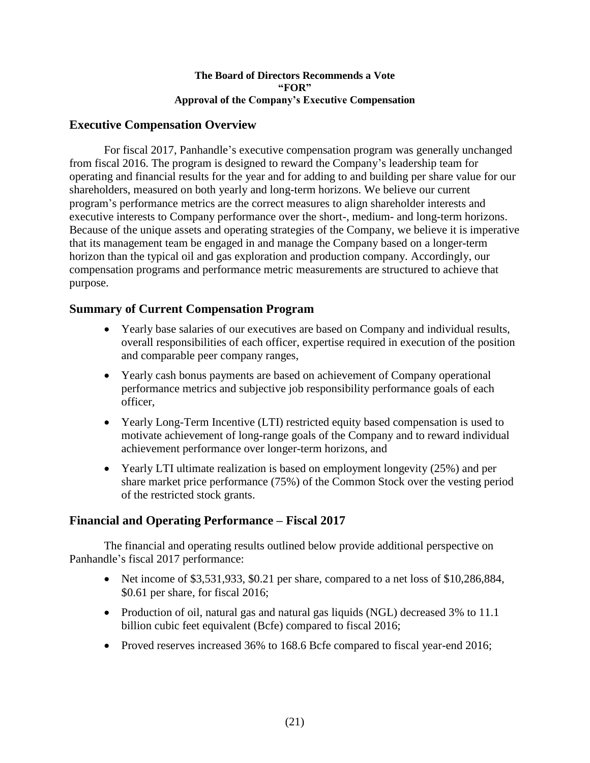### <span id="page-23-0"></span>**The Board of Directors Recommends a Vote "FOR" Approval of the Company's Executive Compensation**

# **Executive Compensation Overview**

For fiscal 2017, Panhandle's executive compensation program was generally unchanged from fiscal 2016. The program is designed to reward the Company's leadership team for operating and financial results for the year and for adding to and building per share value for our shareholders, measured on both yearly and long-term horizons. We believe our current program's performance metrics are the correct measures to align shareholder interests and executive interests to Company performance over the short-, medium- and long-term horizons. Because of the unique assets and operating strategies of the Company, we believe it is imperative that its management team be engaged in and manage the Company based on a longer-term horizon than the typical oil and gas exploration and production company. Accordingly, our compensation programs and performance metric measurements are structured to achieve that purpose.

# **Summary of Current Compensation Program**

- <span id="page-23-1"></span> Yearly base salaries of our executives are based on Company and individual results, overall responsibilities of each officer, expertise required in execution of the position and comparable peer company ranges,
- Yearly cash bonus payments are based on achievement of Company operational performance metrics and subjective job responsibility performance goals of each officer,
- Yearly Long-Term Incentive (LTI) restricted equity based compensation is used to motivate achievement of long-range goals of the Company and to reward individual achievement performance over longer-term horizons, and
- <span id="page-23-2"></span> Yearly LTI ultimate realization is based on employment longevity (25%) and per share market price performance (75%) of the Common Stock over the vesting period of the restricted stock grants.

# **Financial and Operating Performance – Fiscal 2017**

The financial and operating results outlined below provide additional perspective on Panhandle's fiscal 2017 performance:

- Net income of  $$3,531,933, $0.21$  per share, compared to a net loss of  $$10,286,884$ , \$0.61 per share, for fiscal 2016;
- Production of oil, natural gas and natural gas liquids (NGL) decreased 3% to 11.1 billion cubic feet equivalent (Bcfe) compared to fiscal 2016;
- Proved reserves increased 36% to 168.6 Bcfe compared to fiscal year-end 2016;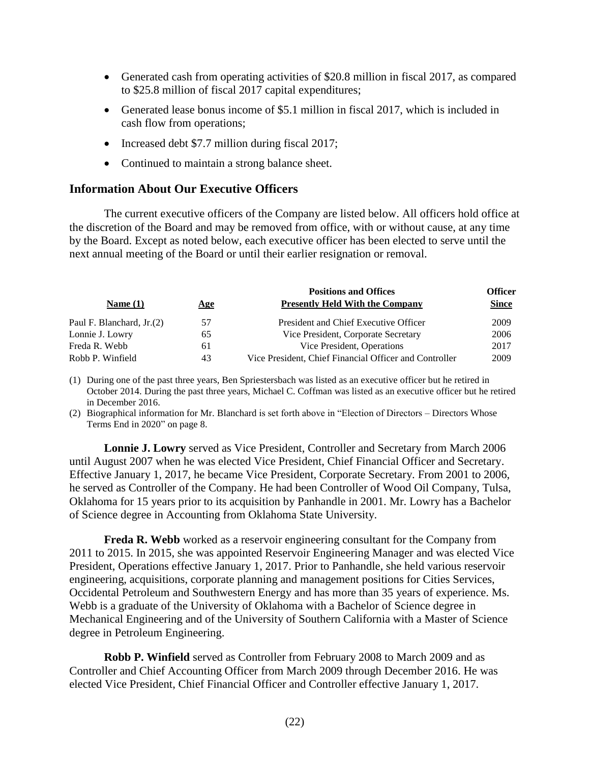- Generated cash from operating activities of \$20.8 million in fiscal 2017, as compared to \$25.8 million of fiscal 2017 capital expenditures;
- Generated lease bonus income of \$5.1 million in fiscal 2017, which is included in cash flow from operations;
- Increased debt \$7.7 million during fiscal 2017;
- <span id="page-24-0"></span>• Continued to maintain a strong balance sheet.

### **Information About Our Executive Officers**

The current executive officers of the Company are listed below. All officers hold office at the discretion of the Board and may be removed from office, with or without cause, at any time by the Board. Except as noted below, each executive officer has been elected to serve until the next annual meeting of the Board or until their earlier resignation or removal.

|                           |     | <b>Positions and Offices</b>                           | <b>Officer</b> |
|---------------------------|-----|--------------------------------------------------------|----------------|
| Name $(1)$                | Age | <b>Presently Held With the Company</b>                 | <b>Since</b>   |
| Paul F. Blanchard, Jr.(2) | 57  | President and Chief Executive Officer                  | 2009           |
| Lonnie J. Lowry           | 65  | Vice President, Corporate Secretary                    | 2006           |
| Freda R. Webb             | 61  | Vice President, Operations                             | 2017           |
| Robb P. Winfield          | 43  | Vice President, Chief Financial Officer and Controller | 2009           |

(1) During one of the past three years, Ben Spriestersbach was listed as an executive officer but he retired in October 2014. During the past three years, Michael C. Coffman was listed as an executive officer but he retired in December 2016.

(2) Biographical information for Mr. Blanchard is set forth above in "Election of Directors – Directors Whose Terms End in 2020" on page 8.

**Lonnie J. Lowry** served as Vice President, Controller and Secretary from March 2006 until August 2007 when he was elected Vice President, Chief Financial Officer and Secretary. Effective January 1, 2017, he became Vice President, Corporate Secretary. From 2001 to 2006, he served as Controller of the Company. He had been Controller of Wood Oil Company, Tulsa, Oklahoma for 15 years prior to its acquisition by Panhandle in 2001. Mr. Lowry has a Bachelor of Science degree in Accounting from Oklahoma State University.

**Freda R. Webb** worked as a reservoir engineering consultant for the Company from 2011 to 2015. In 2015, she was appointed Reservoir Engineering Manager and was elected Vice President, Operations effective January 1, 2017. Prior to Panhandle, she held various reservoir engineering, acquisitions, corporate planning and management positions for Cities Services, Occidental Petroleum and Southwestern Energy and has more than 35 years of experience. Ms. Webb is a graduate of the University of Oklahoma with a Bachelor of Science degree in Mechanical Engineering and of the University of Southern California with a Master of Science degree in Petroleum Engineering.

**Robb P. Winfield** served as Controller from February 2008 to March 2009 and as Controller and Chief Accounting Officer from March 2009 through December 2016. He was elected Vice President, Chief Financial Officer and Controller effective January 1, 2017.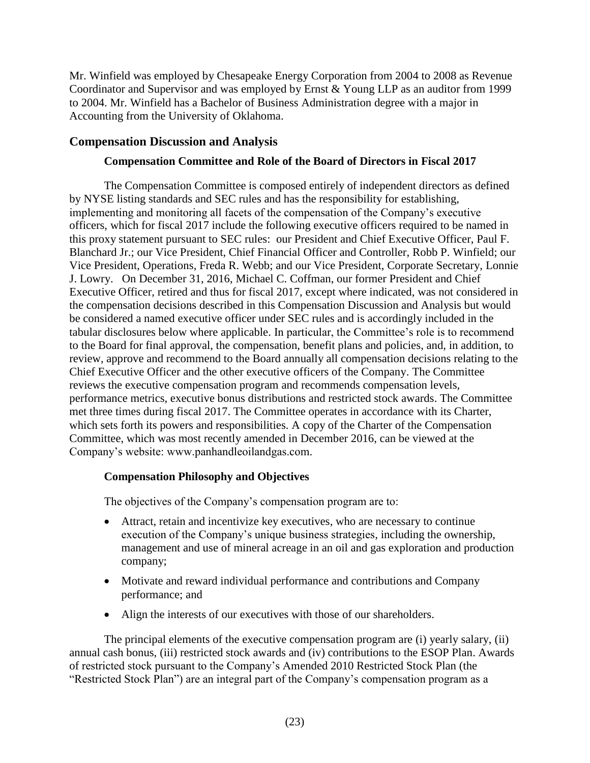Mr. Winfield was employed by Chesapeake Energy Corporation from 2004 to 2008 as Revenue Coordinator and Supervisor and was employed by Ernst & Young LLP as an auditor from 1999 to 2004. Mr. Winfield has a Bachelor of Business Administration degree with a major in Accounting from the University of Oklahoma.

# **Compensation Discussion and Analysis**

## <span id="page-25-0"></span>**Compensation Committee and Role of the Board of Directors in Fiscal 2017**

The Compensation Committee is composed entirely of independent directors as defined by NYSE listing standards and SEC rules and has the responsibility for establishing, implementing and monitoring all facets of the compensation of the Company's executive officers, which for fiscal 2017 include the following executive officers required to be named in this proxy statement pursuant to SEC rules: our President and Chief Executive Officer, Paul F. Blanchard Jr.; our Vice President, Chief Financial Officer and Controller, Robb P. Winfield; our Vice President, Operations, Freda R. Webb; and our Vice President, Corporate Secretary, Lonnie J. Lowry. On December 31, 2016, Michael C. Coffman, our former President and Chief Executive Officer, retired and thus for fiscal 2017, except where indicated, was not considered in the compensation decisions described in this Compensation Discussion and Analysis but would be considered a named executive officer under SEC rules and is accordingly included in the tabular disclosures below where applicable. In particular, the Committee's role is to recommend to the Board for final approval, the compensation, benefit plans and policies, and, in addition, to review, approve and recommend to the Board annually all compensation decisions relating to the Chief Executive Officer and the other executive officers of the Company. The Committee reviews the executive compensation program and recommends compensation levels, performance metrics, executive bonus distributions and restricted stock awards. The Committee met three times during fiscal 2017. The Committee operates in accordance with its Charter, which sets forth its powers and responsibilities. A copy of the Charter of the Compensation Committee, which was most recently amended in December 2016, can be viewed at the Company's website: www.panhandleoilandgas.com.

# **Compensation Philosophy and Objectives**

The objectives of the Company's compensation program are to:

- Attract, retain and incentivize key executives, who are necessary to continue execution of the Company's unique business strategies, including the ownership, management and use of mineral acreage in an oil and gas exploration and production company;
- Motivate and reward individual performance and contributions and Company performance; and
- Align the interests of our executives with those of our shareholders.

The principal elements of the executive compensation program are (i) yearly salary, (ii) annual cash bonus, (iii) restricted stock awards and (iv) contributions to the ESOP Plan. Awards of restricted stock pursuant to the Company's Amended 2010 Restricted Stock Plan (the "Restricted Stock Plan") are an integral part of the Company's compensation program as a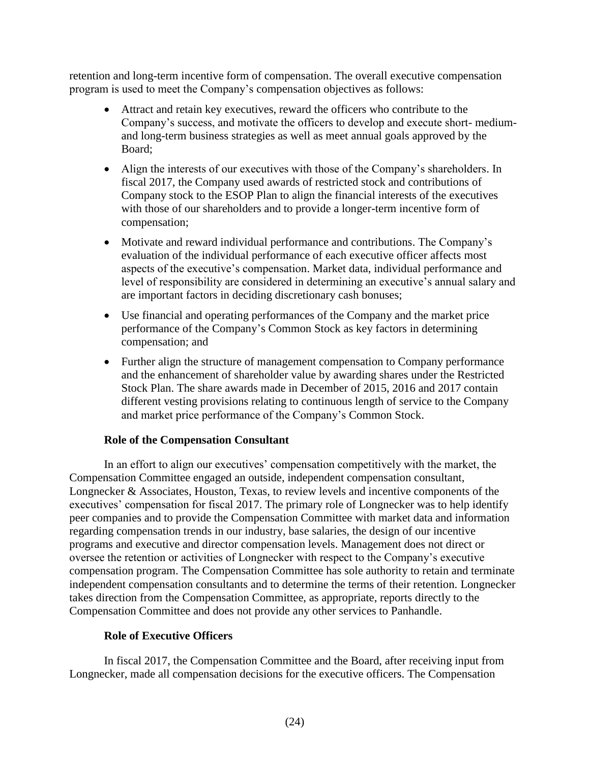retention and long-term incentive form of compensation. The overall executive compensation program is used to meet the Company's compensation objectives as follows:

- Attract and retain key executives, reward the officers who contribute to the Company's success, and motivate the officers to develop and execute short- mediumand long-term business strategies as well as meet annual goals approved by the Board;
- Align the interests of our executives with those of the Company's shareholders. In fiscal 2017, the Company used awards of restricted stock and contributions of Company stock to the ESOP Plan to align the financial interests of the executives with those of our shareholders and to provide a longer-term incentive form of compensation;
- Motivate and reward individual performance and contributions. The Company's evaluation of the individual performance of each executive officer affects most aspects of the executive's compensation. Market data, individual performance and level of responsibility are considered in determining an executive's annual salary and are important factors in deciding discretionary cash bonuses;
- Use financial and operating performances of the Company and the market price performance of the Company's Common Stock as key factors in determining compensation; and
- Further align the structure of management compensation to Company performance and the enhancement of shareholder value by awarding shares under the Restricted Stock Plan. The share awards made in December of 2015, 2016 and 2017 contain different vesting provisions relating to continuous length of service to the Company and market price performance of the Company's Common Stock.

### **Role of the Compensation Consultant**

In an effort to align our executives' compensation competitively with the market, the Compensation Committee engaged an outside, independent compensation consultant, Longnecker & Associates, Houston, Texas, to review levels and incentive components of the executives' compensation for fiscal 2017. The primary role of Longnecker was to help identify peer companies and to provide the Compensation Committee with market data and information regarding compensation trends in our industry, base salaries, the design of our incentive programs and executive and director compensation levels. Management does not direct or oversee the retention or activities of Longnecker with respect to the Company's executive compensation program. The Compensation Committee has sole authority to retain and terminate independent compensation consultants and to determine the terms of their retention. Longnecker takes direction from the Compensation Committee, as appropriate, reports directly to the Compensation Committee and does not provide any other services to Panhandle.

### **Role of Executive Officers**

In fiscal 2017, the Compensation Committee and the Board, after receiving input from Longnecker, made all compensation decisions for the executive officers. The Compensation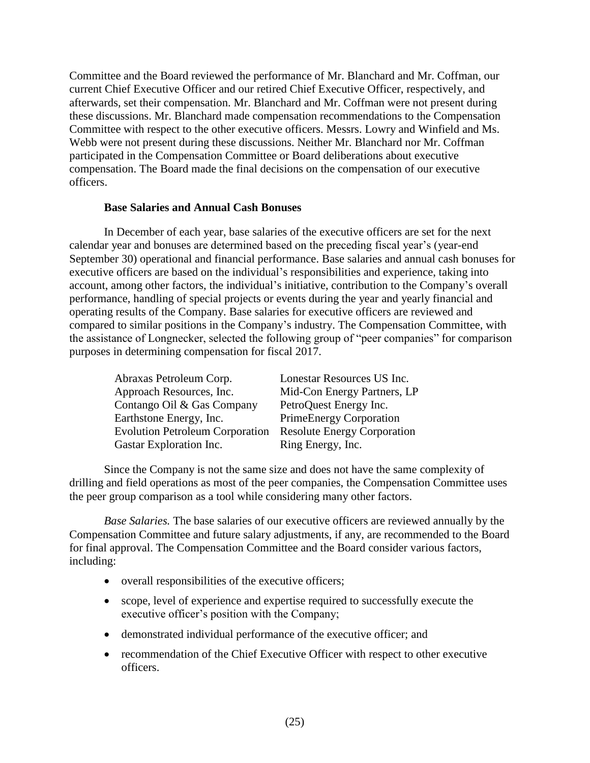Committee and the Board reviewed the performance of Mr. Blanchard and Mr. Coffman, our current Chief Executive Officer and our retired Chief Executive Officer, respectively, and afterwards, set their compensation. Mr. Blanchard and Mr. Coffman were not present during these discussions. Mr. Blanchard made compensation recommendations to the Compensation Committee with respect to the other executive officers. Messrs. Lowry and Winfield and Ms. Webb were not present during these discussions. Neither Mr. Blanchard nor Mr. Coffman participated in the Compensation Committee or Board deliberations about executive compensation. The Board made the final decisions on the compensation of our executive officers.

### **Base Salaries and Annual Cash Bonuses**

In December of each year, base salaries of the executive officers are set for the next calendar year and bonuses are determined based on the preceding fiscal year's (year-end September 30) operational and financial performance. Base salaries and annual cash bonuses for executive officers are based on the individual's responsibilities and experience, taking into account, among other factors, the individual's initiative, contribution to the Company's overall performance, handling of special projects or events during the year and yearly financial and operating results of the Company. Base salaries for executive officers are reviewed and compared to similar positions in the Company's industry. The Compensation Committee, with the assistance of Longnecker, selected the following group of "peer companies" for comparison purposes in determining compensation for fiscal 2017.

| Abraxas Petroleum Corp.                | Lonestar Resources US Inc.         |
|----------------------------------------|------------------------------------|
| Approach Resources, Inc.               | Mid-Con Energy Partners, LP        |
| Contango Oil & Gas Company             | PetroQuest Energy Inc.             |
| Earthstone Energy, Inc.                | <b>PrimeEnergy Corporation</b>     |
| <b>Evolution Petroleum Corporation</b> | <b>Resolute Energy Corporation</b> |
| Gastar Exploration Inc.                | Ring Energy, Inc.                  |

Since the Company is not the same size and does not have the same complexity of drilling and field operations as most of the peer companies, the Compensation Committee uses the peer group comparison as a tool while considering many other factors.

*Base Salaries.* The base salaries of our executive officers are reviewed annually by the Compensation Committee and future salary adjustments, if any, are recommended to the Board for final approval. The Compensation Committee and the Board consider various factors, including:

- overall responsibilities of the executive officers;
- scope, level of experience and expertise required to successfully execute the executive officer's position with the Company;
- demonstrated individual performance of the executive officer; and
- recommendation of the Chief Executive Officer with respect to other executive officers.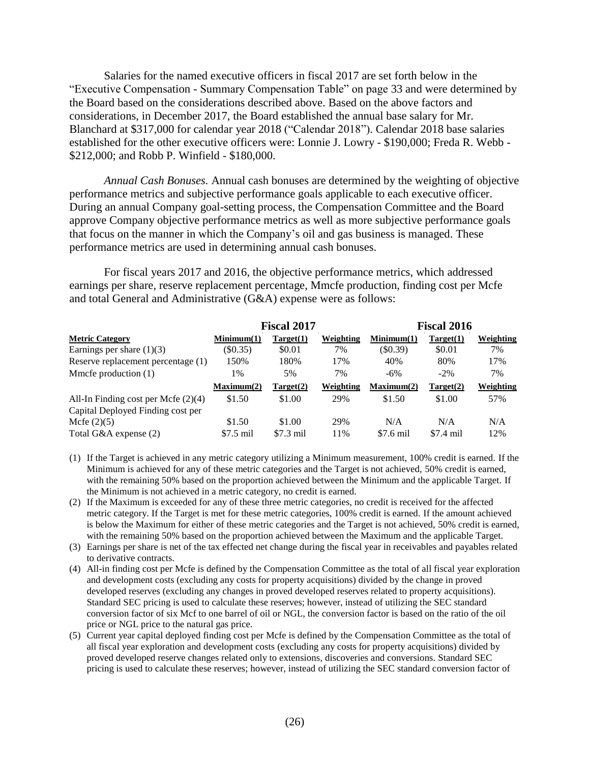Salaries for the named executive officers in fiscal 2017 are set forth below in the "Executive Compensation - Summary Compensation Table" on page 33 and were determined by the Board based on the considerations described above. Based on the above factors and considerations, in December 2017, the Board established the annual base salary for Mr. Blanchard at \$317,000 for calendar year 2018 ("Calendar 2018"). Calendar 2018 base salaries established for the other executive officers were: Lonnie J. Lowry - \$190,000; Freda R. Webb - \$212,000; and Robb P. Winfield - \$180,000.

*Annual Cash Bonuses.* Annual cash bonuses are determined by the weighting of objective performance metrics and subjective performance goals applicable to each executive officer. During an annual Company goal-setting process, the Compensation Committee and the Board approve Company objective performance metrics as well as more subjective performance goals that focus on the manner in which the Company's oil and gas business is managed. These performance metrics are used in determining annual cash bonuses.

For fiscal years 2017 and 2016, the objective performance metrics, which addressed earnings per share, reserve replacement percentage, Mmcfe production, finding cost per Mcfe and total General and Administrative (G&A) expense were as follows:

|                                       |            | <b>Fiscal 2017</b> |           | <b>Fiscal 2016</b> |            |           |
|---------------------------------------|------------|--------------------|-----------|--------------------|------------|-----------|
| <b>Metric Category</b>                | Minimum(1) | Target(1)          | Weighting | Minimum(1)         | Target(1)  | Weighting |
| Earnings per share $(1)(3)$           | $(\$0.35)$ | \$0.01             | 7%        | (S0.39)            | \$0.01     | 7%        |
| Reserve replacement percentage (1)    | 150%       | 180%               | 17%       | 40%                | 80%        | 17%       |
| Mmcfe production $(1)$                | 1%         | 5%                 | 7%        | $-6\%$             | $-2\%$     | 7%        |
|                                       | Maximum(2) | Target(2)          | Weighting | Maximum(2)         | Target(2)  | Weighting |
| All-In Finding cost per Mcfe $(2)(4)$ | \$1.50     | \$1.00             | 29%       | \$1.50             | \$1.00     | 57%       |
| Capital Deployed Finding cost per     |            |                    |           |                    |            |           |
| Mcfe $(2)(5)$                         | \$1.50     | \$1.00             | 29%       | N/A                | N/A        | N/A       |
| Total G&A expense (2)                 | $$7.5$ mil | $$7.3$ mil         | 11%       | \$7.6 mil          | $$7.4$ mil | 12%       |

- (1) If the Target is achieved in any metric category utilizing a Minimum measurement, 100% credit is earned. If the Minimum is achieved for any of these metric categories and the Target is not achieved, 50% credit is earned, with the remaining 50% based on the proportion achieved between the Minimum and the applicable Target. If the Minimum is not achieved in a metric category, no credit is earned.
- (2) If the Maximum is exceeded for any of these three metric categories, no credit is received for the affected metric category. If the Target is met for these metric categories, 100% credit is earned. If the amount achieved is below the Maximum for either of these metric categories and the Target is not achieved, 50% credit is earned, with the remaining 50% based on the proportion achieved between the Maximum and the applicable Target.
- (3) Earnings per share is net of the tax effected net change during the fiscal year in receivables and payables related to derivative contracts.
- (4) All-in finding cost per Mcfe is defined by the Compensation Committee as the total of all fiscal year exploration and development costs (excluding any costs for property acquisitions) divided by the change in proved developed reserves (excluding any changes in proved developed reserves related to property acquisitions). Standard SEC pricing is used to calculate these reserves; however, instead of utilizing the SEC standard conversion factor of six Mcf to one barrel of oil or NGL, the conversion factor is based on the ratio of the oil price or NGL price to the natural gas price.
- (5) Current year capital deployed finding cost per Mcfe is defined by the Compensation Committee as the total of all fiscal year exploration and development costs (excluding any costs for property acquisitions) divided by proved developed reserve changes related only to extensions, discoveries and conversions. Standard SEC pricing is used to calculate these reserves; however, instead of utilizing the SEC standard conversion factor of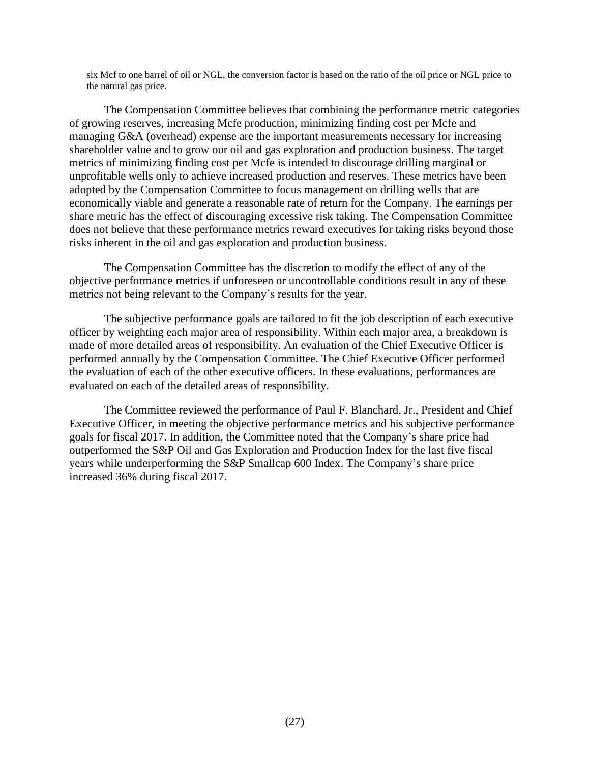six Mcf to one barrel of oil or NGL, the conversion factor is based on the ratio of the oil price or NGL price to the natural gas price.

The Compensation Committee believes that combining the performance metric categories of growing reserves, increasing Mcfe production, minimizing finding cost per Mcfe and managing G&A (overhead) expense are the important measurements necessary for increasing shareholder value and to grow our oil and gas exploration and production business. The target metrics of minimizing finding cost per Mcfe is intended to discourage drilling marginal or unprofitable wells only to achieve increased production and reserves. These metrics have been adopted by the Compensation Committee to focus management on drilling wells that are economically viable and generate a reasonable rate of return for the Company. The earnings per share metric has the effect of discouraging excessive risk taking. The Compensation Committee does not believe that these performance metrics reward executives for taking risks beyond those risks inherent in the oil and gas exploration and production business.

The Compensation Committee has the discretion to modify the effect of any of the objective performance metrics if unforeseen or uncontrollable conditions result in any of these metrics not being relevant to the Company's results for the year.

The subjective performance goals are tailored to fit the job description of each executive officer by weighting each major area of responsibility. Within each major area, a breakdown is made of more detailed areas of responsibility. An evaluation of the Chief Executive Officer is performed annually by the Compensation Committee. The Chief Executive Officer performed the evaluation of each of the other executive officers. In these evaluations, performances are evaluated on each of the detailed areas of responsibility.

The Committee reviewed the performance of Paul F. Blanchard, Jr., President and Chief Executive Officer, in meeting the objective performance metrics and his subjective performance goals for fiscal 2017. In addition, the Committee noted that the Company's share price had outperformed the S&P Oil and Gas Exploration and Production Index for the last five fiscal years while underperforming the S&P Smallcap 600 Index. The Company's share price increased 36% during fiscal 2017.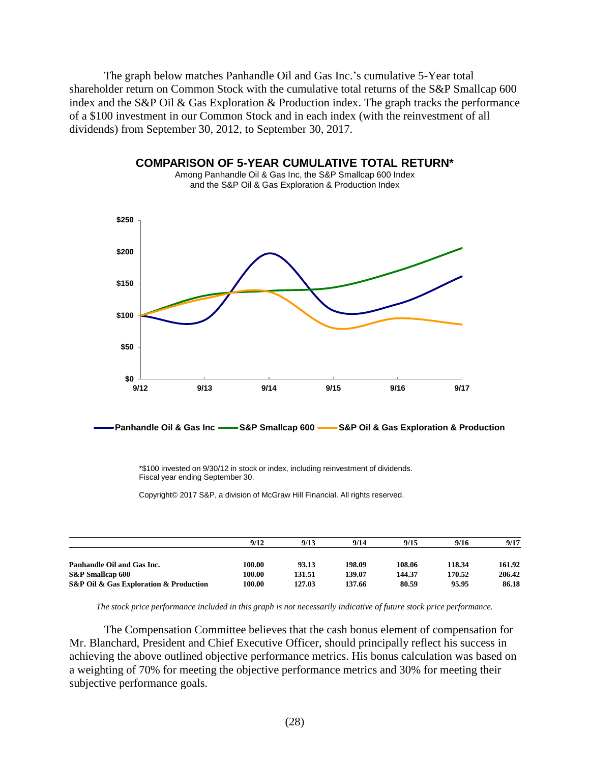The graph below matches Panhandle Oil and Gas Inc.'s cumulative 5-Year total shareholder return on Common Stock with the cumulative total returns of the S&P Smallcap 600 index and the S&P Oil & Gas Exploration & Production index. The graph tracks the performance of a \$100 investment in our Common Stock and in each index (with the reinvestment of all dividends) from September 30, 2012, to September 30, 2017.

**COMPARISON OF 5-YEAR CUMULATIVE TOTAL RETURN\***



**Panhandle Oil & Gas Inc S&P Smallcap 600 S&P Oil & Gas Exploration & Production**

\*\$100 invested on 9/30/12 in stock or index, including reinvestment of dividends. Fiscal year ending September 30.

Copyright© 2017 S&P, a division of McGraw Hill Financial. All rights reserved.

|                                        | 9/12   | 9/13   | 9/14   | 9/15   | 9/16   | 9/17   |
|----------------------------------------|--------|--------|--------|--------|--------|--------|
| Panhandle Oil and Gas Inc.             | 100.00 | 93.13  | 198.09 | 108.06 | 118.34 | 161.92 |
| <b>S&amp;P</b> Smallcap 600            | 100.00 | 131.51 | 139.07 | 144.37 | 170.52 | 206.42 |
| S&P Oil & Gas Exploration & Production | 100.00 | 127.03 | 137.66 | 80.59  | 95.95  | 86.18  |

*The stock price performance included in this graph is not necessarily indicative of future stock price performance.*

The Compensation Committee believes that the cash bonus element of compensation for Mr. Blanchard, President and Chief Executive Officer, should principally reflect his success in achieving the above outlined objective performance metrics. His bonus calculation was based on a weighting of 70% for meeting the objective performance metrics and 30% for meeting their subjective performance goals.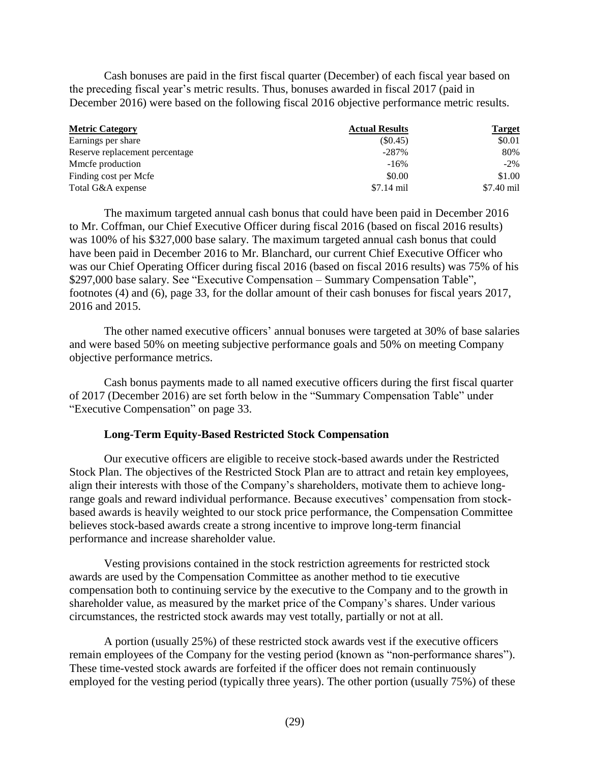Cash bonuses are paid in the first fiscal quarter (December) of each fiscal year based on the preceding fiscal year's metric results. Thus, bonuses awarded in fiscal 2017 (paid in December 2016) were based on the following fiscal 2016 objective performance metric results.

| <b>Metric Category</b>         | <b>Actual Results</b> | <b>Target</b> |
|--------------------------------|-----------------------|---------------|
| Earnings per share             | (S0.45)               | \$0.01        |
| Reserve replacement percentage | $-287\%$              | 80%           |
| Mmcfe production               | $-16%$                | $-2\%$        |
| Finding cost per Mcfe          | \$0.00                | \$1.00        |
| Total G&A expense              | $$7.14$ mil           | \$7.40 mil    |

The maximum targeted annual cash bonus that could have been paid in December 2016 to Mr. Coffman, our Chief Executive Officer during fiscal 2016 (based on fiscal 2016 results) was 100% of his \$327,000 base salary. The maximum targeted annual cash bonus that could have been paid in December 2016 to Mr. Blanchard, our current Chief Executive Officer who was our Chief Operating Officer during fiscal 2016 (based on fiscal 2016 results) was 75% of his \$297,000 base salary. See "Executive Compensation – Summary Compensation Table", footnotes (4) and (6), page 33, for the dollar amount of their cash bonuses for fiscal years 2017, 2016 and 2015.

The other named executive officers' annual bonuses were targeted at 30% of base salaries and were based 50% on meeting subjective performance goals and 50% on meeting Company objective performance metrics.

Cash bonus payments made to all named executive officers during the first fiscal quarter of 2017 (December 2016) are set forth below in the "Summary Compensation Table" under "Executive Compensation" on page 33.

### **Long-Term Equity-Based Restricted Stock Compensation**

Our executive officers are eligible to receive stock-based awards under the Restricted Stock Plan. The objectives of the Restricted Stock Plan are to attract and retain key employees, align their interests with those of the Company's shareholders, motivate them to achieve longrange goals and reward individual performance. Because executives' compensation from stockbased awards is heavily weighted to our stock price performance, the Compensation Committee believes stock-based awards create a strong incentive to improve long-term financial performance and increase shareholder value.

Vesting provisions contained in the stock restriction agreements for restricted stock awards are used by the Compensation Committee as another method to tie executive compensation both to continuing service by the executive to the Company and to the growth in shareholder value, as measured by the market price of the Company's shares. Under various circumstances, the restricted stock awards may vest totally, partially or not at all.

A portion (usually 25%) of these restricted stock awards vest if the executive officers remain employees of the Company for the vesting period (known as "non-performance shares"). These time-vested stock awards are forfeited if the officer does not remain continuously employed for the vesting period (typically three years). The other portion (usually 75%) of these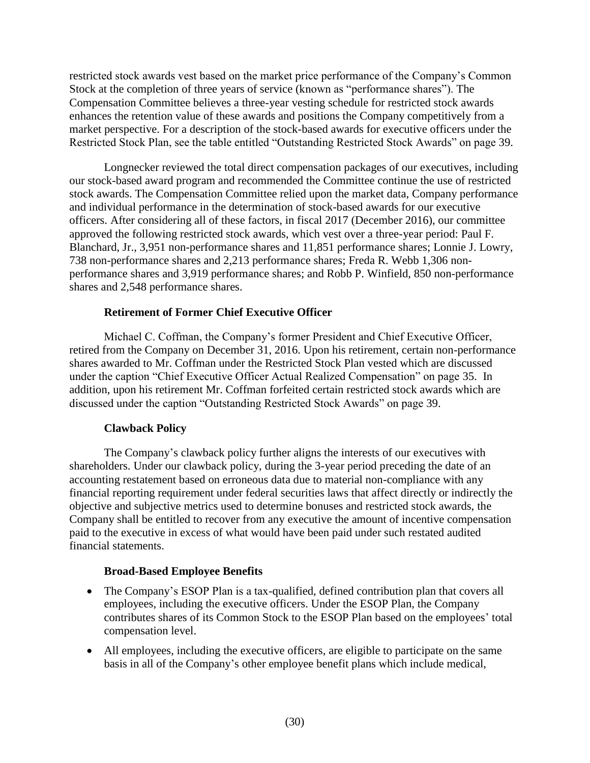restricted stock awards vest based on the market price performance of the Company's Common Stock at the completion of three years of service (known as "performance shares"). The Compensation Committee believes a three-year vesting schedule for restricted stock awards enhances the retention value of these awards and positions the Company competitively from a market perspective. For a description of the stock-based awards for executive officers under the Restricted Stock Plan, see the table entitled "Outstanding Restricted Stock Awards" on page 39.

Longnecker reviewed the total direct compensation packages of our executives, including our stock-based award program and recommended the Committee continue the use of restricted stock awards. The Compensation Committee relied upon the market data, Company performance and individual performance in the determination of stock-based awards for our executive officers. After considering all of these factors, in fiscal 2017 (December 2016), our committee approved the following restricted stock awards, which vest over a three-year period: Paul F. Blanchard, Jr., 3,951 non-performance shares and 11,851 performance shares; Lonnie J. Lowry, 738 non-performance shares and 2,213 performance shares; Freda R. Webb 1,306 nonperformance shares and 3,919 performance shares; and Robb P. Winfield, 850 non-performance shares and 2,548 performance shares.

# **Retirement of Former Chief Executive Officer**

Michael C. Coffman, the Company's former President and Chief Executive Officer, retired from the Company on December 31, 2016. Upon his retirement, certain non-performance shares awarded to Mr. Coffman under the Restricted Stock Plan vested which are discussed under the caption "Chief Executive Officer Actual Realized Compensation" on page 35. In addition, upon his retirement Mr. Coffman forfeited certain restricted stock awards which are discussed under the caption "Outstanding Restricted Stock Awards" on page 39.

# **Clawback Policy**

The Company's clawback policy further aligns the interests of our executives with shareholders. Under our clawback policy, during the 3-year period preceding the date of an accounting restatement based on erroneous data due to material non-compliance with any financial reporting requirement under federal securities laws that affect directly or indirectly the objective and subjective metrics used to determine bonuses and restricted stock awards, the Company shall be entitled to recover from any executive the amount of incentive compensation paid to the executive in excess of what would have been paid under such restated audited financial statements.

# **Broad-Based Employee Benefits**

- The Company's ESOP Plan is a tax-qualified, defined contribution plan that covers all employees, including the executive officers. Under the ESOP Plan, the Company contributes shares of its Common Stock to the ESOP Plan based on the employees' total compensation level.
- All employees, including the executive officers, are eligible to participate on the same basis in all of the Company's other employee benefit plans which include medical,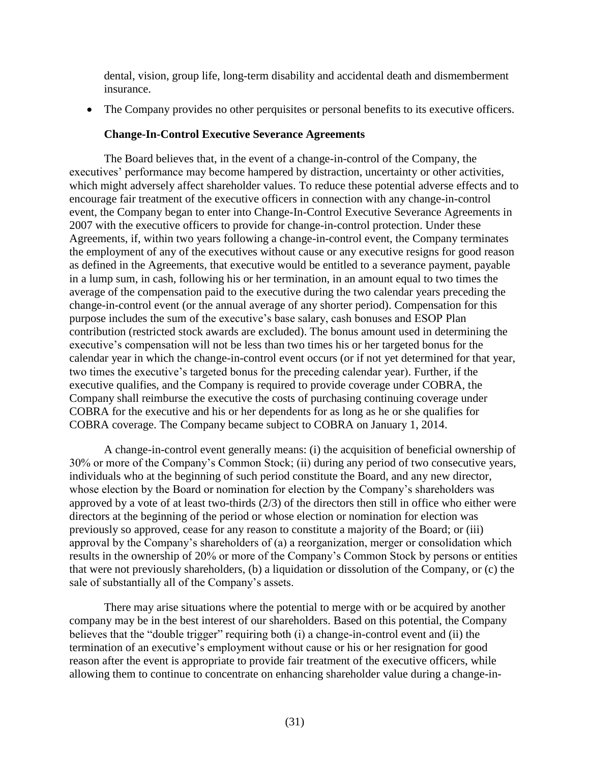dental, vision, group life, long-term disability and accidental death and dismemberment insurance.

The Company provides no other perquisites or personal benefits to its executive officers.

## **Change-In-Control Executive Severance Agreements**

The Board believes that, in the event of a change-in-control of the Company, the executives' performance may become hampered by distraction, uncertainty or other activities, which might adversely affect shareholder values. To reduce these potential adverse effects and to encourage fair treatment of the executive officers in connection with any change-in-control event, the Company began to enter into Change-In-Control Executive Severance Agreements in 2007 with the executive officers to provide for change-in-control protection. Under these Agreements, if, within two years following a change-in-control event, the Company terminates the employment of any of the executives without cause or any executive resigns for good reason as defined in the Agreements, that executive would be entitled to a severance payment, payable in a lump sum, in cash, following his or her termination, in an amount equal to two times the average of the compensation paid to the executive during the two calendar years preceding the change-in-control event (or the annual average of any shorter period). Compensation for this purpose includes the sum of the executive's base salary, cash bonuses and ESOP Plan contribution (restricted stock awards are excluded). The bonus amount used in determining the executive's compensation will not be less than two times his or her targeted bonus for the calendar year in which the change-in-control event occurs (or if not yet determined for that year, two times the executive's targeted bonus for the preceding calendar year). Further, if the executive qualifies, and the Company is required to provide coverage under COBRA, the Company shall reimburse the executive the costs of purchasing continuing coverage under COBRA for the executive and his or her dependents for as long as he or she qualifies for COBRA coverage. The Company became subject to COBRA on January 1, 2014.

A change-in-control event generally means: (i) the acquisition of beneficial ownership of 30% or more of the Company's Common Stock; (ii) during any period of two consecutive years, individuals who at the beginning of such period constitute the Board, and any new director, whose election by the Board or nomination for election by the Company's shareholders was approved by a vote of at least two-thirds (2/3) of the directors then still in office who either were directors at the beginning of the period or whose election or nomination for election was previously so approved, cease for any reason to constitute a majority of the Board; or (iii) approval by the Company's shareholders of (a) a reorganization, merger or consolidation which results in the ownership of 20% or more of the Company's Common Stock by persons or entities that were not previously shareholders, (b) a liquidation or dissolution of the Company, or (c) the sale of substantially all of the Company's assets.

There may arise situations where the potential to merge with or be acquired by another company may be in the best interest of our shareholders. Based on this potential, the Company believes that the "double trigger" requiring both (i) a change-in-control event and (ii) the termination of an executive's employment without cause or his or her resignation for good reason after the event is appropriate to provide fair treatment of the executive officers, while allowing them to continue to concentrate on enhancing shareholder value during a change-in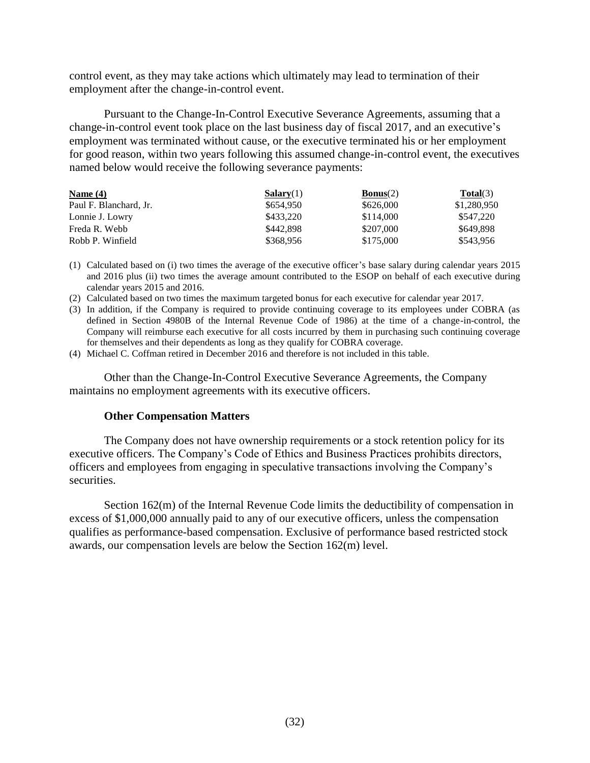control event, as they may take actions which ultimately may lead to termination of their employment after the change-in-control event.

Pursuant to the Change-In-Control Executive Severance Agreements, assuming that a change-in-control event took place on the last business day of fiscal 2017, and an executive's employment was terminated without cause, or the executive terminated his or her employment for good reason, within two years following this assumed change-in-control event, the executives named below would receive the following severance payments:

| Name $(4)$             | Salary(1) | <b>Bonus</b> $(2)$ | Total(3)    |
|------------------------|-----------|--------------------|-------------|
| Paul F. Blanchard, Jr. | \$654.950 | \$626,000          | \$1,280,950 |
| Lonnie J. Lowry        | \$433.220 | \$114,000          | \$547.220   |
| Freda R. Webb          | \$442,898 | \$207,000          | \$649.898   |
| Robb P. Winfield       | \$368,956 | \$175,000          | \$543,956   |

(1) Calculated based on (i) two times the average of the executive officer's base salary during calendar years 2015 and 2016 plus (ii) two times the average amount contributed to the ESOP on behalf of each executive during calendar years 2015 and 2016.

- (2) Calculated based on two times the maximum targeted bonus for each executive for calendar year 2017.
- (3) In addition, if the Company is required to provide continuing coverage to its employees under COBRA (as defined in Section 4980B of the Internal Revenue Code of 1986) at the time of a change-in-control, the Company will reimburse each executive for all costs incurred by them in purchasing such continuing coverage for themselves and their dependents as long as they qualify for COBRA coverage.

(4) Michael C. Coffman retired in December 2016 and therefore is not included in this table.

Other than the Change-In-Control Executive Severance Agreements, the Company maintains no employment agreements with its executive officers.

### **Other Compensation Matters**

The Company does not have ownership requirements or a stock retention policy for its executive officers. The Company's Code of Ethics and Business Practices prohibits directors, officers and employees from engaging in speculative transactions involving the Company's securities.

Section 162(m) of the Internal Revenue Code limits the deductibility of compensation in excess of \$1,000,000 annually paid to any of our executive officers, unless the compensation qualifies as performance-based compensation. Exclusive of performance based restricted stock awards, our compensation levels are below the Section 162(m) level.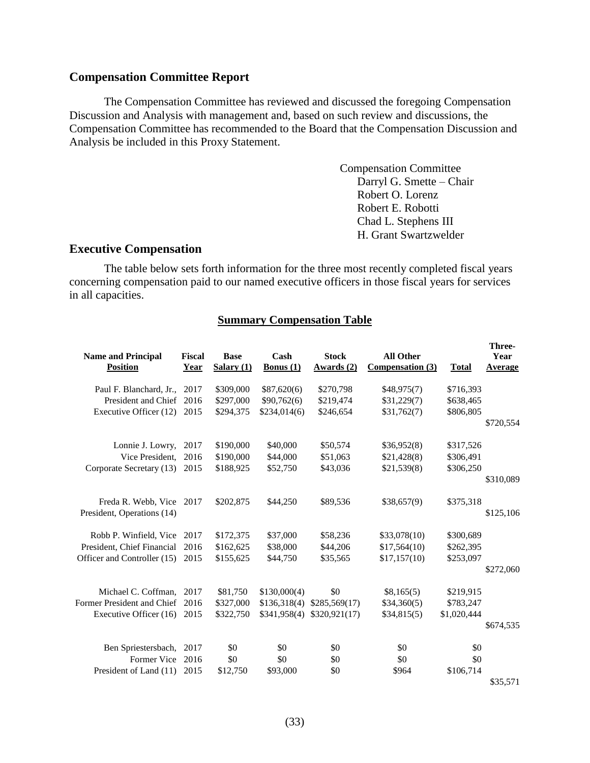## <span id="page-35-0"></span>**Compensation Committee Report**

The Compensation Committee has reviewed and discussed the foregoing Compensation Discussion and Analysis with management and, based on such review and discussions, the Compensation Committee has recommended to the Board that the Compensation Discussion and Analysis be included in this Proxy Statement.

> Compensation Committee Darryl G. Smette – Chair Robert O. Lorenz Robert E. Robotti Chad L. Stephens III H. Grant Swartzwelder

# <span id="page-35-1"></span>**Executive Compensation**

The table below sets forth information for the three most recently completed fiscal years concerning compensation paid to our named executive officers in those fiscal years for services in all capacities.

#### **Summary Compensation Table**

| <b>Name and Principal</b><br><b>Position</b> | <b>Fiscal</b><br><u>Year</u> | <b>Base</b><br><b>Salary</b> (1) | Cash<br><u>Bonus <math>(1)</math></u> | <b>Stock</b><br>Awards(2) | <b>All Other</b><br>Compensation (3) | <b>Total</b> | Three-<br>Year<br>Average |
|----------------------------------------------|------------------------------|----------------------------------|---------------------------------------|---------------------------|--------------------------------------|--------------|---------------------------|
| Paul F. Blanchard, Jr.,                      | 2017                         | \$309,000                        | \$87,620(6)                           | \$270,798                 | \$48,975(7)                          | \$716,393    |                           |
| President and Chief                          | 2016                         | \$297,000                        | \$90,762(6)                           | \$219,474                 | \$31,229(7)                          | \$638,465    |                           |
| Executive Officer (12)                       | 2015                         | \$294,375                        | \$234,014(6)                          | \$246,654                 | \$31,762(7)                          | \$806,805    |                           |
|                                              |                              |                                  |                                       |                           |                                      |              | \$720,554                 |
| Lonnie J. Lowry,                             | 2017                         | \$190,000                        | \$40,000                              | \$50,574                  | \$36,952(8)                          | \$317,526    |                           |
| Vice President.                              | 2016                         | \$190,000                        | \$44,000                              | \$51,063                  | \$21,428(8)                          | \$306,491    |                           |
| Corporate Secretary (13)                     | 2015                         | \$188,925                        | \$52,750                              | \$43,036                  | \$21,539(8)                          | \$306,250    |                           |
|                                              |                              |                                  |                                       |                           |                                      |              | \$310,089                 |
| Freda R. Webb, Vice 2017                     |                              | \$202,875                        | \$44,250                              | \$89,536                  | \$38,657(9)                          | \$375,318    |                           |
| President, Operations (14)                   |                              |                                  |                                       |                           |                                      |              | \$125,106                 |
| Robb P. Winfield, Vice                       | 2017                         | \$172,375                        | \$37,000                              | \$58,236                  | \$33,078(10)                         | \$300,689    |                           |
| President, Chief Financial                   | 2016                         | \$162,625                        | \$38,000                              | \$44,206                  | \$17,564(10)                         | \$262,395    |                           |
| Officer and Controller (15)                  | 2015                         | \$155,625                        | \$44,750                              | \$35,565                  | \$17,157(10)                         | \$253,097    |                           |
|                                              |                              |                                  |                                       |                           |                                      |              | \$272,060                 |
| Michael C. Coffman,                          | 2017                         | \$81,750                         | \$130,000(4)                          | \$0                       | \$8,165(5)                           | \$219,915    |                           |
| Former President and Chief                   | 2016                         | \$327,000                        | \$136,318(4)                          | \$285,569(17)             | \$34,360(5)                          | \$783,247    |                           |
| Executive Officer (16)                       | 2015                         | \$322,750                        | \$341,958(4)                          | \$320,921(17)             | \$34,815(5)                          | \$1,020,444  |                           |
|                                              |                              |                                  |                                       |                           |                                      |              | \$674,535                 |
| Ben Spriestersbach,                          | 2017                         | \$0                              | \$0                                   | \$0                       | \$0                                  | \$0          |                           |
| Former Vice                                  | 2016                         | \$0                              | \$0                                   | \$0                       | \$0                                  | \$0          |                           |
| President of Land (11)                       | 2015                         | \$12,750                         | \$93,000                              | \$0                       | \$964                                | \$106,714    |                           |
|                                              |                              |                                  |                                       |                           |                                      |              | \$35,571                  |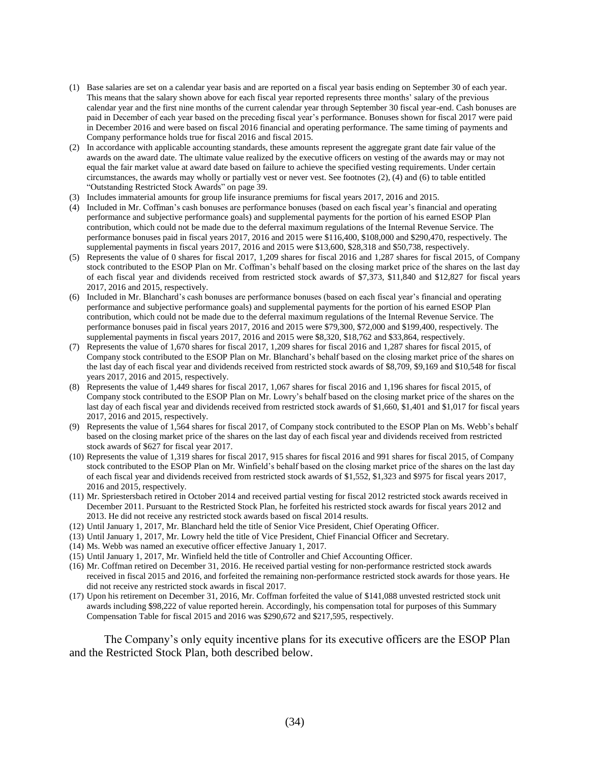- (1) Base salaries are set on a calendar year basis and are reported on a fiscal year basis ending on September 30 of each year. This means that the salary shown above for each fiscal year reported represents three months' salary of the previous calendar year and the first nine months of the current calendar year through September 30 fiscal year-end. Cash bonuses are paid in December of each year based on the preceding fiscal year's performance. Bonuses shown for fiscal 2017 were paid in December 2016 and were based on fiscal 2016 financial and operating performance. The same timing of payments and Company performance holds true for fiscal 2016 and fiscal 2015.
- (2) In accordance with applicable accounting standards, these amounts represent the aggregate grant date fair value of the awards on the award date. The ultimate value realized by the executive officers on vesting of the awards may or may not equal the fair market value at award date based on failure to achieve the specified vesting requirements. Under certain circumstances, the awards may wholly or partially vest or never vest. See footnotes (2), (4) and (6) to table entitled "Outstanding Restricted Stock Awards" on page 39.
- (3) Includes immaterial amounts for group life insurance premiums for fiscal years 2017, 2016 and 2015.
- (4) Included in Mr. Coffman's cash bonuses are performance bonuses (based on each fiscal year's financial and operating performance and subjective performance goals) and supplemental payments for the portion of his earned ESOP Plan contribution, which could not be made due to the deferral maximum regulations of the Internal Revenue Service. The performance bonuses paid in fiscal years 2017, 2016 and 2015 were \$116,400, \$108,000 and \$290,470, respectively. The supplemental payments in fiscal years 2017, 2016 and 2015 were \$13,600, \$28,318 and \$50,738, respectively.
- (5) Represents the value of 0 shares for fiscal 2017, 1,209 shares for fiscal 2016 and 1,287 shares for fiscal 2015, of Company stock contributed to the ESOP Plan on Mr. Coffman's behalf based on the closing market price of the shares on the last day of each fiscal year and dividends received from restricted stock awards of \$7,373, \$11,840 and \$12,827 for fiscal years 2017, 2016 and 2015, respectively.
- (6) Included in Mr. Blanchard's cash bonuses are performance bonuses (based on each fiscal year's financial and operating performance and subjective performance goals) and supplemental payments for the portion of his earned ESOP Plan contribution, which could not be made due to the deferral maximum regulations of the Internal Revenue Service. The performance bonuses paid in fiscal years 2017, 2016 and 2015 were \$79,300, \$72,000 and \$199,400, respectively. The supplemental payments in fiscal years 2017, 2016 and 2015 were \$8,320, \$18,762 and \$33,864, respectively.
- (7) Represents the value of 1,670 shares for fiscal 2017, 1,209 shares for fiscal 2016 and 1,287 shares for fiscal 2015, of Company stock contributed to the ESOP Plan on Mr. Blanchard's behalf based on the closing market price of the shares on the last day of each fiscal year and dividends received from restricted stock awards of \$8,709, \$9,169 and \$10,548 for fiscal years 2017, 2016 and 2015, respectively.
- (8) Represents the value of 1,449 shares for fiscal 2017, 1,067 shares for fiscal 2016 and 1,196 shares for fiscal 2015, of Company stock contributed to the ESOP Plan on Mr. Lowry's behalf based on the closing market price of the shares on the last day of each fiscal year and dividends received from restricted stock awards of \$1,660, \$1,401 and \$1,017 for fiscal years 2017, 2016 and 2015, respectively.
- (9) Represents the value of 1,564 shares for fiscal 2017, of Company stock contributed to the ESOP Plan on Ms. Webb's behalf based on the closing market price of the shares on the last day of each fiscal year and dividends received from restricted stock awards of \$627 for fiscal year 2017.
- (10) Represents the value of 1,319 shares for fiscal 2017, 915 shares for fiscal 2016 and 991 shares for fiscal 2015, of Company stock contributed to the ESOP Plan on Mr. Winfield's behalf based on the closing market price of the shares on the last day of each fiscal year and dividends received from restricted stock awards of \$1,552, \$1,323 and \$975 for fiscal years 2017, 2016 and 2015, respectively.
- (11) Mr. Spriestersbach retired in October 2014 and received partial vesting for fiscal 2012 restricted stock awards received in December 2011. Pursuant to the Restricted Stock Plan, he forfeited his restricted stock awards for fiscal years 2012 and 2013. He did not receive any restricted stock awards based on fiscal 2014 results.
- (12) Until January 1, 2017, Mr. Blanchard held the title of Senior Vice President, Chief Operating Officer.
- (13) Until January 1, 2017, Mr. Lowry held the title of Vice President, Chief Financial Officer and Secretary.
- (14) Ms. Webb was named an executive officer effective January 1, 2017.
- (15) Until January 1, 2017, Mr. Winfield held the title of Controller and Chief Accounting Officer.
- (16) Mr. Coffman retired on December 31, 2016. He received partial vesting for non-performance restricted stock awards received in fiscal 2015 and 2016, and forfeited the remaining non-performance restricted stock awards for those years. He did not receive any restricted stock awards in fiscal 2017.
- (17) Upon his retirement on December 31, 2016, Mr. Coffman forfeited the value of \$141,088 unvested restricted stock unit awards including \$98,222 of value reported herein. Accordingly, his compensation total for purposes of this Summary Compensation Table for fiscal 2015 and 2016 was \$290,672 and \$217,595, respectively.

The Company's only equity incentive plans for its executive officers are the ESOP Plan and the Restricted Stock Plan, both described below.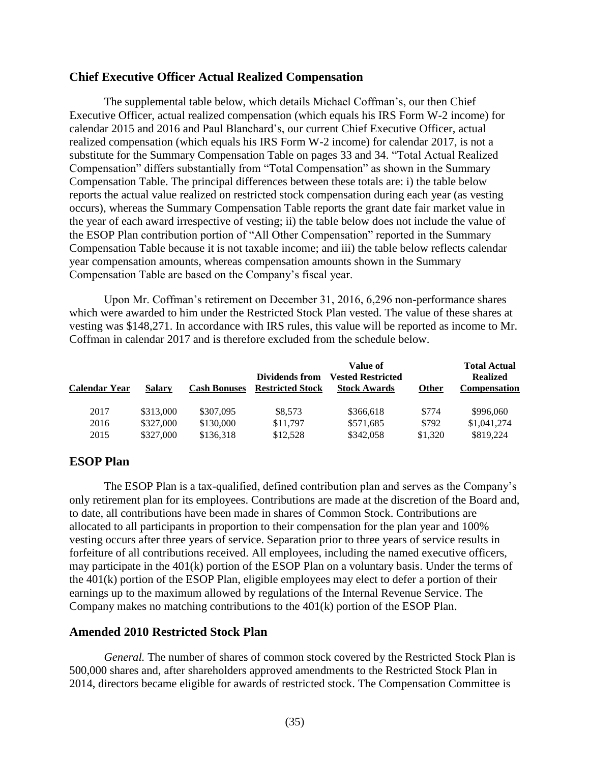### <span id="page-37-0"></span>**Chief Executive Officer Actual Realized Compensation**

The supplemental table below, which details Michael Coffman's, our then Chief Executive Officer, actual realized compensation (which equals his IRS Form W-2 income) for calendar 2015 and 2016 and Paul Blanchard's, our current Chief Executive Officer, actual realized compensation (which equals his IRS Form W-2 income) for calendar 2017, is not a substitute for the Summary Compensation Table on pages 33 and 34. "Total Actual Realized Compensation" differs substantially from "Total Compensation" as shown in the Summary Compensation Table. The principal differences between these totals are: i) the table below reports the actual value realized on restricted stock compensation during each year (as vesting occurs), whereas the Summary Compensation Table reports the grant date fair market value in the year of each award irrespective of vesting; ii) the table below does not include the value of the ESOP Plan contribution portion of "All Other Compensation" reported in the Summary Compensation Table because it is not taxable income; and iii) the table below reflects calendar year compensation amounts, whereas compensation amounts shown in the Summary Compensation Table are based on the Company's fiscal year.

Upon Mr. Coffman's retirement on December 31, 2016, 6,296 non-performance shares which were awarded to him under the Restricted Stock Plan vested. The value of these shares at vesting was \$148,271. In accordance with IRS rules, this value will be reported as income to Mr. Coffman in calendar 2017 and is therefore excluded from the schedule below.

| Calendar Year | <b>Salary</b> | <b>Cash Bonuses</b> | Dividends from<br><b>Restricted Stock</b> | Value of<br><b>Vested Restricted</b><br><b>Stock Awards</b> | <b>Other</b> | <b>Total Actual</b><br><b>Realized</b><br><b>Compensation</b> |
|---------------|---------------|---------------------|-------------------------------------------|-------------------------------------------------------------|--------------|---------------------------------------------------------------|
| 2017          | \$313,000     | \$307,095           | \$8,573                                   | \$366,618                                                   | \$774        | \$996,060                                                     |
| 2016          | \$327,000     | \$130,000           | \$11,797                                  | \$571,685                                                   | \$792        | \$1,041,274                                                   |
| 2015          | \$327,000     | \$136,318           | \$12,528                                  | \$342,058                                                   | \$1,320      | \$819,224                                                     |

# <span id="page-37-1"></span>**ESOP Plan**

The ESOP Plan is a tax-qualified, defined contribution plan and serves as the Company's only retirement plan for its employees. Contributions are made at the discretion of the Board and, to date, all contributions have been made in shares of Common Stock. Contributions are allocated to all participants in proportion to their compensation for the plan year and 100% vesting occurs after three years of service. Separation prior to three years of service results in forfeiture of all contributions received. All employees, including the named executive officers, may participate in the 401(k) portion of the ESOP Plan on a voluntary basis. Under the terms of the 401(k) portion of the ESOP Plan, eligible employees may elect to defer a portion of their earnings up to the maximum allowed by regulations of the Internal Revenue Service. The Company makes no matching contributions to the 401(k) portion of the ESOP Plan.

# <span id="page-37-2"></span>**Amended 2010 Restricted Stock Plan**

*General.* The number of shares of common stock covered by the Restricted Stock Plan is 500,000 shares and, after shareholders approved amendments to the Restricted Stock Plan in 2014, directors became eligible for awards of restricted stock. The Compensation Committee is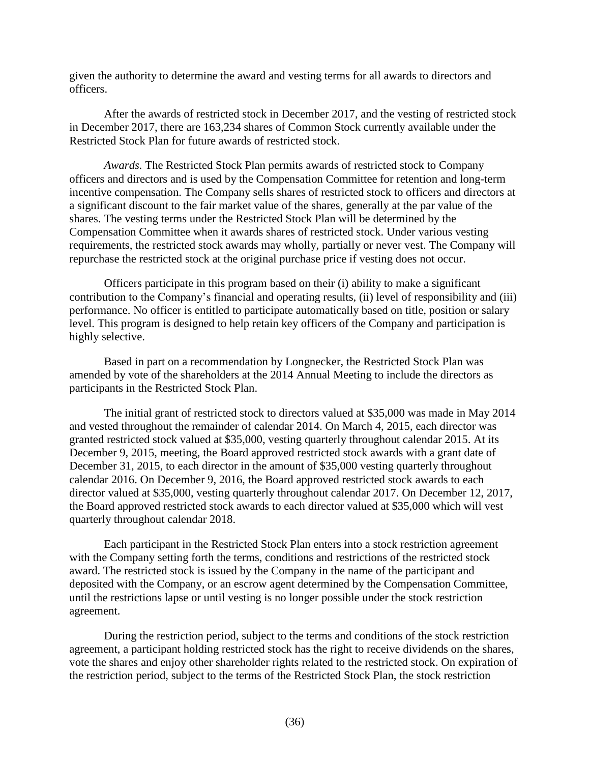given the authority to determine the award and vesting terms for all awards to directors and officers.

After the awards of restricted stock in December 2017, and the vesting of restricted stock in December 2017, there are 163,234 shares of Common Stock currently available under the Restricted Stock Plan for future awards of restricted stock.

*Awards.* The Restricted Stock Plan permits awards of restricted stock to Company officers and directors and is used by the Compensation Committee for retention and long-term incentive compensation. The Company sells shares of restricted stock to officers and directors at a significant discount to the fair market value of the shares, generally at the par value of the shares. The vesting terms under the Restricted Stock Plan will be determined by the Compensation Committee when it awards shares of restricted stock. Under various vesting requirements, the restricted stock awards may wholly, partially or never vest. The Company will repurchase the restricted stock at the original purchase price if vesting does not occur.

Officers participate in this program based on their (i) ability to make a significant contribution to the Company's financial and operating results, (ii) level of responsibility and (iii) performance. No officer is entitled to participate automatically based on title, position or salary level. This program is designed to help retain key officers of the Company and participation is highly selective.

Based in part on a recommendation by Longnecker, the Restricted Stock Plan was amended by vote of the shareholders at the 2014 Annual Meeting to include the directors as participants in the Restricted Stock Plan.

The initial grant of restricted stock to directors valued at \$35,000 was made in May 2014 and vested throughout the remainder of calendar 2014. On March 4, 2015, each director was granted restricted stock valued at \$35,000, vesting quarterly throughout calendar 2015. At its December 9, 2015, meeting, the Board approved restricted stock awards with a grant date of December 31, 2015, to each director in the amount of \$35,000 vesting quarterly throughout calendar 2016. On December 9, 2016, the Board approved restricted stock awards to each director valued at \$35,000, vesting quarterly throughout calendar 2017. On December 12, 2017, the Board approved restricted stock awards to each director valued at \$35,000 which will vest quarterly throughout calendar 2018.

Each participant in the Restricted Stock Plan enters into a stock restriction agreement with the Company setting forth the terms, conditions and restrictions of the restricted stock award. The restricted stock is issued by the Company in the name of the participant and deposited with the Company, or an escrow agent determined by the Compensation Committee, until the restrictions lapse or until vesting is no longer possible under the stock restriction agreement.

During the restriction period, subject to the terms and conditions of the stock restriction agreement, a participant holding restricted stock has the right to receive dividends on the shares, vote the shares and enjoy other shareholder rights related to the restricted stock. On expiration of the restriction period, subject to the terms of the Restricted Stock Plan, the stock restriction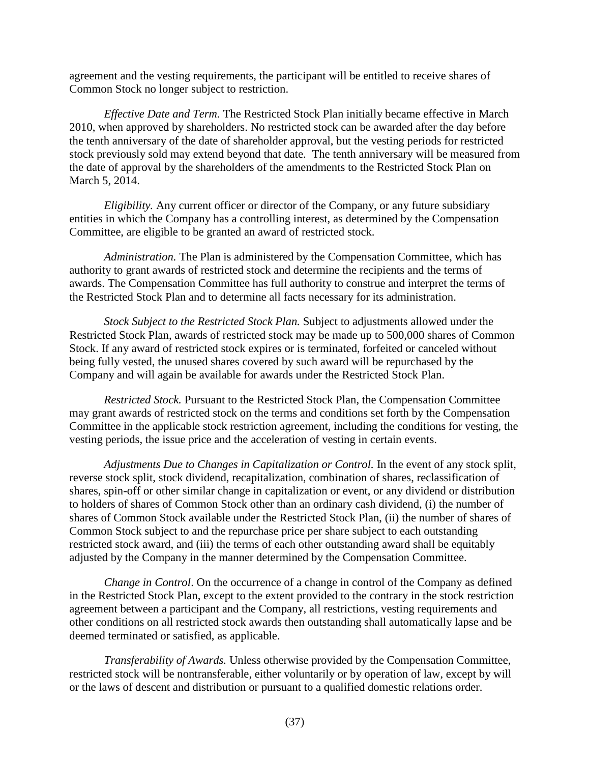agreement and the vesting requirements, the participant will be entitled to receive shares of Common Stock no longer subject to restriction.

*Effective Date and Term.* The Restricted Stock Plan initially became effective in March 2010, when approved by shareholders. No restricted stock can be awarded after the day before the tenth anniversary of the date of shareholder approval, but the vesting periods for restricted stock previously sold may extend beyond that date. The tenth anniversary will be measured from the date of approval by the shareholders of the amendments to the Restricted Stock Plan on March 5, 2014.

*Eligibility.* Any current officer or director of the Company, or any future subsidiary entities in which the Company has a controlling interest, as determined by the Compensation Committee, are eligible to be granted an award of restricted stock.

*Administration.* The Plan is administered by the Compensation Committee, which has authority to grant awards of restricted stock and determine the recipients and the terms of awards. The Compensation Committee has full authority to construe and interpret the terms of the Restricted Stock Plan and to determine all facts necessary for its administration.

*Stock Subject to the Restricted Stock Plan.* Subject to adjustments allowed under the Restricted Stock Plan, awards of restricted stock may be made up to 500,000 shares of Common Stock. If any award of restricted stock expires or is terminated, forfeited or canceled without being fully vested, the unused shares covered by such award will be repurchased by the Company and will again be available for awards under the Restricted Stock Plan.

*Restricted Stock.* Pursuant to the Restricted Stock Plan, the Compensation Committee may grant awards of restricted stock on the terms and conditions set forth by the Compensation Committee in the applicable stock restriction agreement, including the conditions for vesting, the vesting periods, the issue price and the acceleration of vesting in certain events.

*Adjustments Due to Changes in Capitalization or Control.* In the event of any stock split, reverse stock split, stock dividend, recapitalization, combination of shares, reclassification of shares, spin-off or other similar change in capitalization or event, or any dividend or distribution to holders of shares of Common Stock other than an ordinary cash dividend, (i) the number of shares of Common Stock available under the Restricted Stock Plan, (ii) the number of shares of Common Stock subject to and the repurchase price per share subject to each outstanding restricted stock award, and (iii) the terms of each other outstanding award shall be equitably adjusted by the Company in the manner determined by the Compensation Committee.

*Change in Control.* On the occurrence of a change in control of the Company as defined in the Restricted Stock Plan, except to the extent provided to the contrary in the stock restriction agreement between a participant and the Company, all restrictions, vesting requirements and other conditions on all restricted stock awards then outstanding shall automatically lapse and be deemed terminated or satisfied, as applicable.

*Transferability of Awards.* Unless otherwise provided by the Compensation Committee, restricted stock will be nontransferable, either voluntarily or by operation of law, except by will or the laws of descent and distribution or pursuant to a qualified domestic relations order.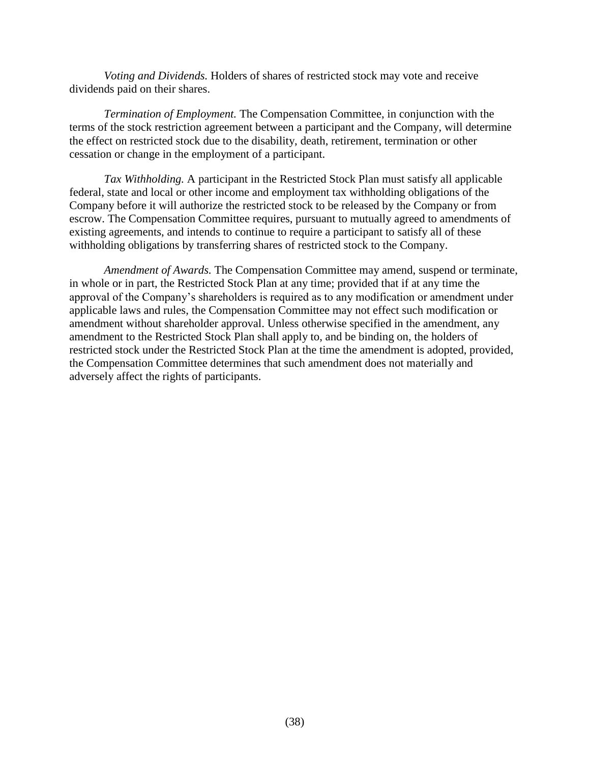*Voting and Dividends.* Holders of shares of restricted stock may vote and receive dividends paid on their shares.

*Termination of Employment.* The Compensation Committee, in conjunction with the terms of the stock restriction agreement between a participant and the Company, will determine the effect on restricted stock due to the disability, death, retirement, termination or other cessation or change in the employment of a participant.

*Tax Withholding.* A participant in the Restricted Stock Plan must satisfy all applicable federal, state and local or other income and employment tax withholding obligations of the Company before it will authorize the restricted stock to be released by the Company or from escrow. The Compensation Committee requires, pursuant to mutually agreed to amendments of existing agreements, and intends to continue to require a participant to satisfy all of these withholding obligations by transferring shares of restricted stock to the Company.

*Amendment of Awards.* The Compensation Committee may amend, suspend or terminate, in whole or in part, the Restricted Stock Plan at any time; provided that if at any time the approval of the Company's shareholders is required as to any modification or amendment under applicable laws and rules, the Compensation Committee may not effect such modification or amendment without shareholder approval. Unless otherwise specified in the amendment, any amendment to the Restricted Stock Plan shall apply to, and be binding on, the holders of restricted stock under the Restricted Stock Plan at the time the amendment is adopted, provided, the Compensation Committee determines that such amendment does not materially and adversely affect the rights of participants.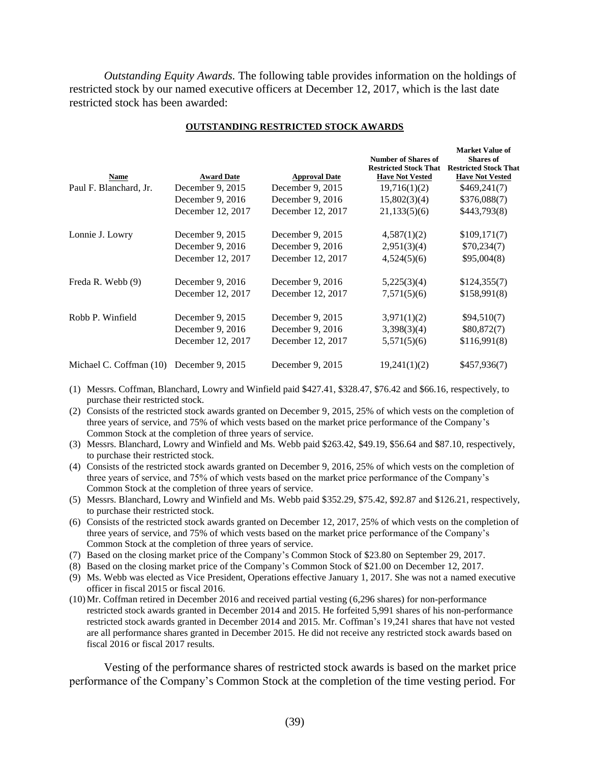*Outstanding Equity Awards.* The following table provides information on the holdings of restricted stock by our named executive officers at December 12, 2017, which is the last date restricted stock has been awarded:

| Name                    | <b>Award Date</b> | <b>Approval Date</b> | <b>Number of Shares of</b><br><b>Restricted Stock That</b><br><b>Have Not Vested</b> | <b>Market Value of</b><br><b>Shares of</b><br><b>Restricted Stock That</b><br><b>Have Not Vested</b> |
|-------------------------|-------------------|----------------------|--------------------------------------------------------------------------------------|------------------------------------------------------------------------------------------------------|
| Paul F. Blanchard, Jr.  | December 9, 2015  | December 9, 2015     | 19,716(1)(2)                                                                         | \$469,241(7)                                                                                         |
|                         | December 9, 2016  | December 9, 2016     | 15,802(3)(4)                                                                         | \$376,088(7)                                                                                         |
|                         | December 12, 2017 | December 12, 2017    | 21,133(5)(6)                                                                         | \$443,793(8)                                                                                         |
| Lonnie J. Lowry         | December 9, 2015  | December $9, 2015$   | 4,587(1)(2)                                                                          | \$109,171(7)                                                                                         |
|                         | December 9, 2016  | December 9, 2016     | 2,951(3)(4)                                                                          | \$70,234(7)                                                                                          |
|                         | December 12, 2017 | December 12, 2017    | 4,524(5)(6)                                                                          | \$95,004(8)                                                                                          |
| Freda R. Webb (9)       | December 9, 2016  | December 9, 2016     | 5,225(3)(4)                                                                          | \$124,355(7)                                                                                         |
|                         | December 12, 2017 | December 12, 2017    | 7,571(5)(6)                                                                          | \$158,991(8)                                                                                         |
| Robb P. Winfield        | December 9, 2015  | December 9, 2015     | 3,971(1)(2)                                                                          | \$94,510(7)                                                                                          |
|                         | December 9, 2016  | December 9, 2016     | 3,398(3)(4)                                                                          | \$80,872(7)                                                                                          |
|                         | December 12, 2017 | December 12, 2017    | 5,571(5)(6)                                                                          | \$116,991(8)                                                                                         |
| Michael C. Coffman (10) | December 9, 2015  | December 9, 2015     | 19,241(1)(2)                                                                         | \$457,936(7)                                                                                         |

#### **OUTSTANDING RESTRICTED STOCK AWARDS**

- (1) Messrs. Coffman, Blanchard, Lowry and Winfield paid \$427.41, \$328.47, \$76.42 and \$66.16, respectively, to purchase their restricted stock.
- (2) Consists of the restricted stock awards granted on December 9, 2015, 25% of which vests on the completion of three years of service, and 75% of which vests based on the market price performance of the Company's Common Stock at the completion of three years of service.
- (3) Messrs. Blanchard, Lowry and Winfield and Ms. Webb paid \$263.42, \$49.19, \$56.64 and \$87.10, respectively, to purchase their restricted stock.
- (4) Consists of the restricted stock awards granted on December 9, 2016, 25% of which vests on the completion of three years of service, and 75% of which vests based on the market price performance of the Company's Common Stock at the completion of three years of service.
- (5) Messrs. Blanchard, Lowry and Winfield and Ms. Webb paid \$352.29, \$75.42, \$92.87 and \$126.21, respectively, to purchase their restricted stock.
- (6) Consists of the restricted stock awards granted on December 12, 2017, 25% of which vests on the completion of three years of service, and 75% of which vests based on the market price performance of the Company's Common Stock at the completion of three years of service.
- (7) Based on the closing market price of the Company's Common Stock of \$23.80 on September 29, 2017.
- (8) Based on the closing market price of the Company's Common Stock of \$21.00 on December 12, 2017.
- (9) Ms. Webb was elected as Vice President, Operations effective January 1, 2017. She was not a named executive officer in fiscal 2015 or fiscal 2016.
- (10)Mr. Coffman retired in December 2016 and received partial vesting (6,296 shares) for non-performance restricted stock awards granted in December 2014 and 2015. He forfeited 5,991 shares of his non-performance restricted stock awards granted in December 2014 and 2015. Mr. Coffman's 19,241 shares that have not vested are all performance shares granted in December 2015. He did not receive any restricted stock awards based on fiscal 2016 or fiscal 2017 results.

Vesting of the performance shares of restricted stock awards is based on the market price performance of the Company's Common Stock at the completion of the time vesting period. For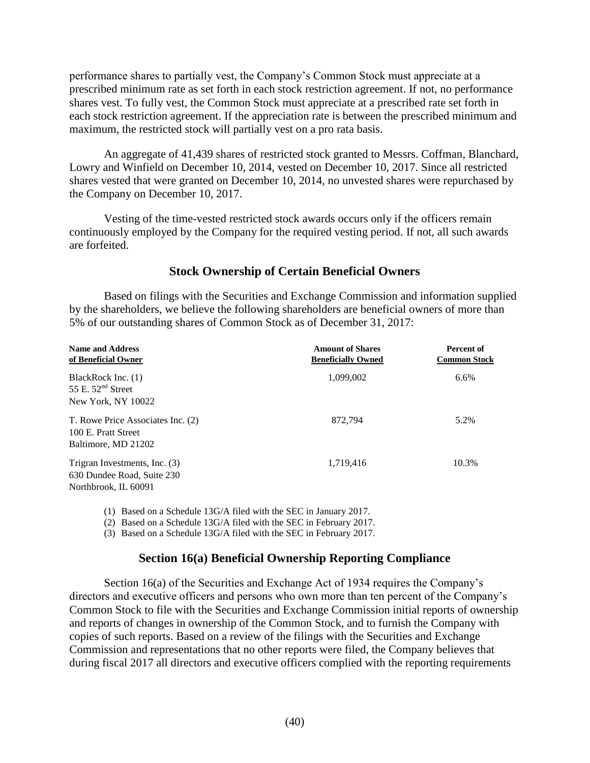performance shares to partially vest, the Company's Common Stock must appreciate at a prescribed minimum rate as set forth in each stock restriction agreement. If not, no performance shares vest. To fully vest, the Common Stock must appreciate at a prescribed rate set forth in each stock restriction agreement. If the appreciation rate is between the prescribed minimum and maximum, the restricted stock will partially vest on a pro rata basis.

An aggregate of 41,439 shares of restricted stock granted to Messrs. Coffman, Blanchard, Lowry and Winfield on December 10, 2014, vested on December 10, 2017. Since all restricted shares vested that were granted on December 10, 2014, no unvested shares were repurchased by the Company on December 10, 2017.

Vesting of the time-vested restricted stock awards occurs only if the officers remain continuously employed by the Company for the required vesting period. If not, all such awards are forfeited.

# <span id="page-42-0"></span>**Stock Ownership of Certain Beneficial Owners**

Based on filings with the Securities and Exchange Commission and information supplied by the shareholders, we believe the following shareholders are beneficial owners of more than 5% of our outstanding shares of Common Stock as of December 31, 2017:

| <b>Name and Address</b><br>of Beneficial Owner                                      | <b>Amount of Shares</b><br><b>Beneficially Owned</b> | Percent of<br><b>Common Stock</b> |
|-------------------------------------------------------------------------------------|------------------------------------------------------|-----------------------------------|
| BlackRock Inc. (1)<br>55 E. $52nd$ Street                                           | 1,099,002                                            | 6.6%                              |
| New York, NY 10022                                                                  |                                                      |                                   |
| T. Rowe Price Associates Inc. (2)<br>100 E. Pratt Street<br>Baltimore, MD 21202     | 872,794                                              | 5.2%                              |
|                                                                                     |                                                      |                                   |
| Trigran Investments, Inc. (3)<br>630 Dundee Road, Suite 230<br>Northbrook, IL 60091 | 1,719,416                                            | 10.3%                             |

(1) Based on a Schedule 13G/A filed with the SEC in January 2017.

(2) Based on a Schedule 13G/A filed with the SEC in February 2017.

(3) Based on a Schedule 13G/A filed with the SEC in February 2017.

# <span id="page-42-1"></span>**Section 16(a) Beneficial Ownership Reporting Compliance**

Section 16(a) of the Securities and Exchange Act of 1934 requires the Company's directors and executive officers and persons who own more than ten percent of the Company's Common Stock to file with the Securities and Exchange Commission initial reports of ownership and reports of changes in ownership of the Common Stock, and to furnish the Company with copies of such reports. Based on a review of the filings with the Securities and Exchange Commission and representations that no other reports were filed, the Company believes that during fiscal 2017 all directors and executive officers complied with the reporting requirements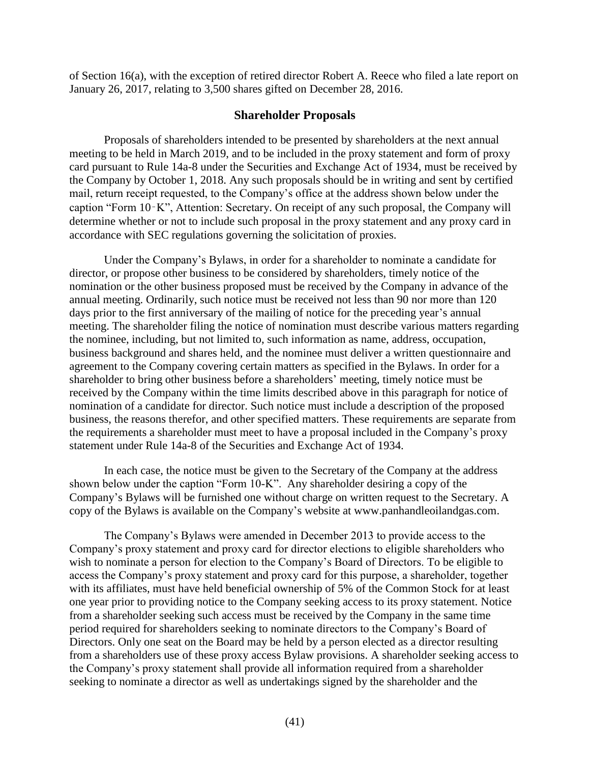of Section 16(a), with the exception of retired director Robert A. Reece who filed a late report on January 26, 2017, relating to 3,500 shares gifted on December 28, 2016.

## <span id="page-43-0"></span>**Shareholder Proposals**

Proposals of shareholders intended to be presented by shareholders at the next annual meeting to be held in March 2019, and to be included in the proxy statement and form of proxy card pursuant to Rule 14a-8 under the Securities and Exchange Act of 1934, must be received by the Company by October 1, 2018. Any such proposals should be in writing and sent by certified mail, return receipt requested, to the Company's office at the address shown below under the caption "Form 10‑K", Attention: Secretary. On receipt of any such proposal, the Company will determine whether or not to include such proposal in the proxy statement and any proxy card in accordance with SEC regulations governing the solicitation of proxies.

Under the Company's Bylaws, in order for a shareholder to nominate a candidate for director, or propose other business to be considered by shareholders, timely notice of the nomination or the other business proposed must be received by the Company in advance of the annual meeting. Ordinarily, such notice must be received not less than 90 nor more than 120 days prior to the first anniversary of the mailing of notice for the preceding year's annual meeting. The shareholder filing the notice of nomination must describe various matters regarding the nominee, including, but not limited to, such information as name, address, occupation, business background and shares held, and the nominee must deliver a written questionnaire and agreement to the Company covering certain matters as specified in the Bylaws. In order for a shareholder to bring other business before a shareholders' meeting, timely notice must be received by the Company within the time limits described above in this paragraph for notice of nomination of a candidate for director. Such notice must include a description of the proposed business, the reasons therefor, and other specified matters. These requirements are separate from the requirements a shareholder must meet to have a proposal included in the Company's proxy statement under Rule 14a-8 of the Securities and Exchange Act of 1934.

In each case, the notice must be given to the Secretary of the Company at the address shown below under the caption "Form 10-K". Any shareholder desiring a copy of the Company's Bylaws will be furnished one without charge on written request to the Secretary. A copy of the Bylaws is available on the Company's website at www.panhandleoilandgas.com.

The Company's Bylaws were amended in December 2013 to provide access to the Company's proxy statement and proxy card for director elections to eligible shareholders who wish to nominate a person for election to the Company's Board of Directors. To be eligible to access the Company's proxy statement and proxy card for this purpose, a shareholder, together with its affiliates, must have held beneficial ownership of 5% of the Common Stock for at least one year prior to providing notice to the Company seeking access to its proxy statement. Notice from a shareholder seeking such access must be received by the Company in the same time period required for shareholders seeking to nominate directors to the Company's Board of Directors. Only one seat on the Board may be held by a person elected as a director resulting from a shareholders use of these proxy access Bylaw provisions. A shareholder seeking access to the Company's proxy statement shall provide all information required from a shareholder seeking to nominate a director as well as undertakings signed by the shareholder and the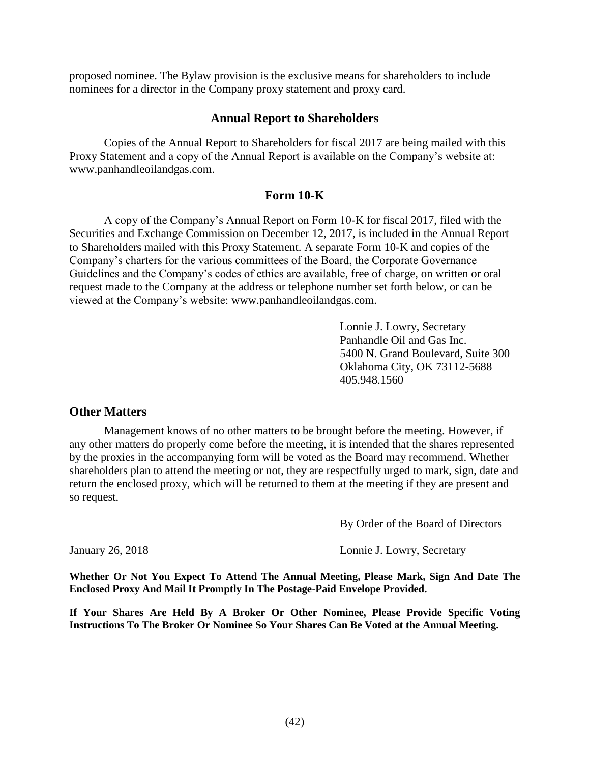proposed nominee. The Bylaw provision is the exclusive means for shareholders to include nominees for a director in the Company proxy statement and proxy card.

### **Annual Report to Shareholders**

Copies of the Annual Report to Shareholders for fiscal 2017 are being mailed with this Proxy Statement and a copy of the Annual Report is available on the Company's website at: www.panhandleoilandgas.com.

## <span id="page-44-1"></span><span id="page-44-0"></span>**Form 10-K**

A copy of the Company's Annual Report on Form 10-K for fiscal 2017, filed with the Securities and Exchange Commission on December 12, 2017, is included in the Annual Report to Shareholders mailed with this Proxy Statement. A separate Form 10-K and copies of the Company's charters for the various committees of the Board, the Corporate Governance Guidelines and the Company's codes of ethics are available, free of charge, on written or oral request made to the Company at the address or telephone number set forth below, or can be viewed at the Company's website: [www.panhandleoilandgas.com.](http://www.panhandleoilandgas.com/)

> Lonnie J. Lowry, Secretary Panhandle Oil and Gas Inc. 5400 N. Grand Boulevard, Suite 300 Oklahoma City, OK 73112-5688 405.948.1560

### <span id="page-44-2"></span>**Other Matters**

Management knows of no other matters to be brought before the meeting. However, if any other matters do properly come before the meeting, it is intended that the shares represented by the proxies in the accompanying form will be voted as the Board may recommend. Whether shareholders plan to attend the meeting or not, they are respectfully urged to mark, sign, date and return the enclosed proxy, which will be returned to them at the meeting if they are present and so request.

By Order of the Board of Directors

January 26, 2018 Lonnie J. Lowry, Secretary

**Whether Or Not You Expect To Attend The Annual Meeting, Please Mark, Sign And Date The Enclosed Proxy And Mail It Promptly In The Postage-Paid Envelope Provided.**

**If Your Shares Are Held By A Broker Or Other Nominee, Please Provide Specific Voting Instructions To The Broker Or Nominee So Your Shares Can Be Voted at the Annual Meeting.**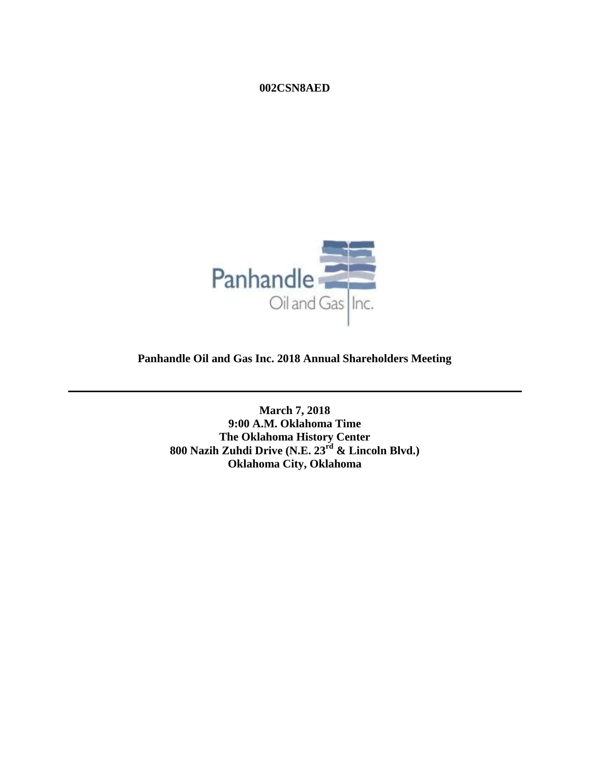### **002CSN8AED**



**Panhandle Oil and Gas Inc. 2018 Annual Shareholders Meeting**

**March 7, 2018 9:00 A.M. Oklahoma Time The Oklahoma History Center 800 Nazih Zuhdi Drive (N.E. 23rd & Lincoln Blvd.) Oklahoma City, Oklahoma**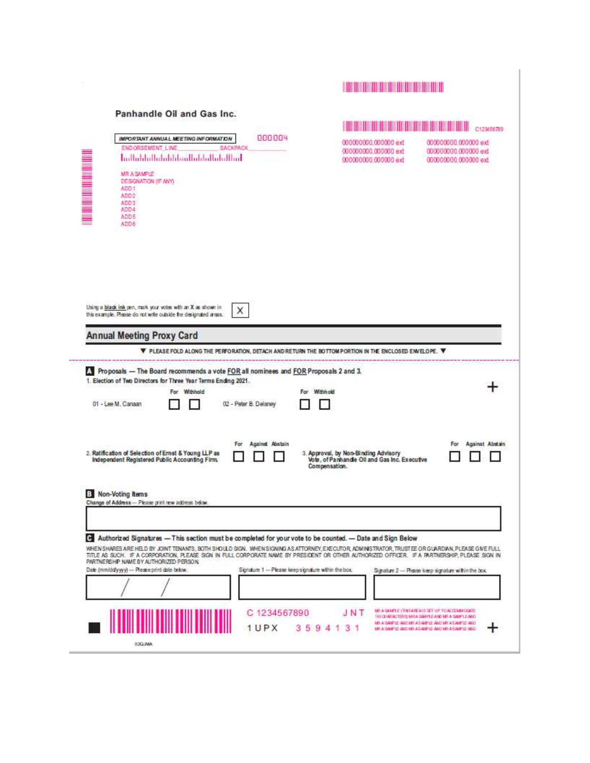| Panhandle Oil and Gas Inc.                                                                                                                                                                                                                                                                                                                                                                                                                                                                                                                                                                                         | C123456789                                                                                                                                                                                                               |
|--------------------------------------------------------------------------------------------------------------------------------------------------------------------------------------------------------------------------------------------------------------------------------------------------------------------------------------------------------------------------------------------------------------------------------------------------------------------------------------------------------------------------------------------------------------------------------------------------------------------|--------------------------------------------------------------------------------------------------------------------------------------------------------------------------------------------------------------------------|
| 000004<br>IMPORTANT ANNUAL MEETING INFORMATION<br>END ORSEMENT LINE<br>SACKPACK<br>اسللتيا والملتان والمسافاة والمانية والمائسا<br><b>MR A SAMPLE</b><br>DESIGNATION (IF ANY)<br>ADO <sub>1</sub><br>ADD <sub>2</sub><br>ADD 3<br>ADD 4<br>ADD 5<br>ADD 6                                                                                                                                                                                                                                                                                                                                                          | 000000000.000000 ext<br>000000000.000000.ext<br>000000000.000000 ext<br>000000000.000000.ext<br>000000000.000000 ext<br>000000000.000000 ext                                                                             |
| Using a black ink pen, mark your votes with an X as shown in<br>X<br>this example. Please do not write outside the designated areas.<br><b>Annual Meeting Proxy Card</b><br>$\Psi$ please fold along the perforation, detach and return the bottom portion in the enclosed envelope. $\Psi$                                                                                                                                                                                                                                                                                                                        |                                                                                                                                                                                                                          |
| Proposals - The Board recommends a vote FOR all nominees and FOR Proposals 2 and 3.<br>1. Election of Two Directors for Three Year Terms Ending 2021.<br>For :<br>Withhold<br>For :<br>01 - Lee M. Canaan<br>02 - Peter B. Delaney                                                                                                                                                                                                                                                                                                                                                                                 | Withhold                                                                                                                                                                                                                 |
| Against Abstain<br>For<br>2. Ratification of Selection of Ernst & Young LLP as<br>Independent Registered Public Accounting Firm.<br><b>B</b> Non-Voting Items<br>Change of Address-Please print rew address below.                                                                                                                                                                                                                                                                                                                                                                                                 | Against Abstain<br>For.<br>3. Approval, by Non-Binding Advisory<br>Vote, of Panhandle Oil and Gas Inc. Executive<br>Compensation.                                                                                        |
| 19 Authorized Signatures - This section must be completed for your vote to be counted. - Date and Sign Below<br>WHEN SHARES ARE HELD BY JOINT TENANTS, BOTH SHOULD SIGN. WHEN SIGNING AS ATTORNEY, EXECUTOR, ADMINISTRATOR, TRUST EE OR GUARDAN, PLEASE GIVE FULL<br>TITLE AS SUCH. IF A CORPORATION, PLEASE SIGN IN FULL CORPORATE NAME BY PRESIDENT OR OTHER ALTHORIZED OFFICER. IF A PARTNERSHIP, PLEASE SIGN IN<br>PARTNERSHIP NAME BY AUTHORIZED PERSON.<br>Dale (mm/ddyyyy) - Please print date below.<br>Signature 1 - Please keep signature within the box.<br>C 1234567890<br><u>HIII III III III III</u> | Sgnature 2- Please keep signature within the box.<br>MILA SAMPLE (THIS ARE AIS SET UP TO ACCOUNT COATE)<br>J N T<br>140 GRANACTERIS: MITA SABIPLE AND ME A SAMPLE AND<br>MI A SAUPLE AND MILASAUPLE AND MIT A SAUPLE AND |
| 1UPX<br>02QJMA                                                                                                                                                                                                                                                                                                                                                                                                                                                                                                                                                                                                     | 3594131<br>MI A SAIPLE AND MILASAMPLE AND MILASAMPLE AND                                                                                                                                                                 |